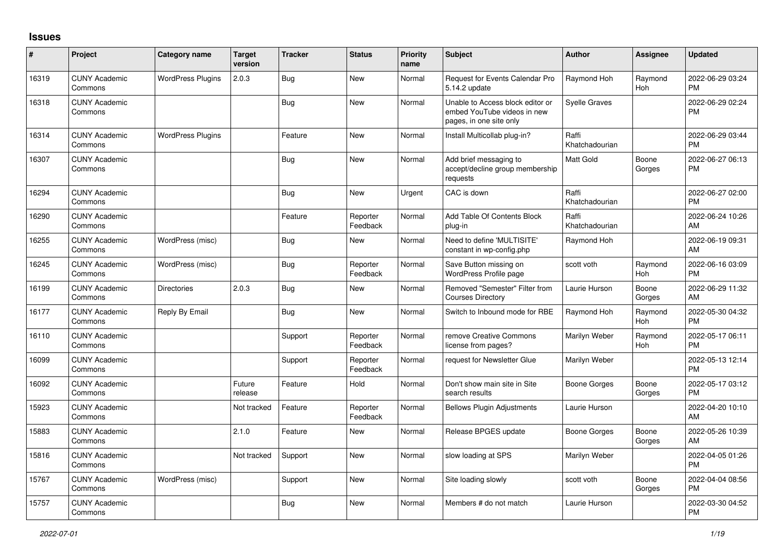## **Issues**

| $\vert$ # | Project                         | <b>Category name</b>     | <b>Target</b><br>version | <b>Tracker</b> | <b>Status</b>        | <b>Priority</b><br>name | <b>Subject</b>                                                                             | <b>Author</b>           | Assignee        | <b>Updated</b>                |
|-----------|---------------------------------|--------------------------|--------------------------|----------------|----------------------|-------------------------|--------------------------------------------------------------------------------------------|-------------------------|-----------------|-------------------------------|
| 16319     | <b>CUNY Academic</b><br>Commons | <b>WordPress Plugins</b> | 2.0.3                    | Bug            | <b>New</b>           | Normal                  | Request for Events Calendar Pro<br>5.14.2 update                                           | Raymond Hoh             | Raymond<br>Hoh  | 2022-06-29 03:24<br><b>PM</b> |
| 16318     | <b>CUNY Academic</b><br>Commons |                          |                          | <b>Bug</b>     | <b>New</b>           | Normal                  | Unable to Access block editor or<br>embed YouTube videos in new<br>pages, in one site only | <b>Syelle Graves</b>    |                 | 2022-06-29 02:24<br><b>PM</b> |
| 16314     | <b>CUNY Academic</b><br>Commons | <b>WordPress Plugins</b> |                          | Feature        | <b>New</b>           | Normal                  | Install Multicollab plug-in?                                                               | Raffi<br>Khatchadourian |                 | 2022-06-29 03:44<br><b>PM</b> |
| 16307     | <b>CUNY Academic</b><br>Commons |                          |                          | <b>Bug</b>     | <b>New</b>           | Normal                  | Add brief messaging to<br>accept/decline group membership<br>requests                      | Matt Gold               | Boone<br>Gorges | 2022-06-27 06:13<br><b>PM</b> |
| 16294     | <b>CUNY Academic</b><br>Commons |                          |                          | <b>Bug</b>     | <b>New</b>           | Urgent                  | CAC is down                                                                                | Raffi<br>Khatchadourian |                 | 2022-06-27 02:00<br><b>PM</b> |
| 16290     | <b>CUNY Academic</b><br>Commons |                          |                          | Feature        | Reporter<br>Feedback | Normal                  | Add Table Of Contents Block<br>plug-in                                                     | Raffi<br>Khatchadourian |                 | 2022-06-24 10:26<br>AM        |
| 16255     | <b>CUNY Academic</b><br>Commons | WordPress (misc)         |                          | <b>Bug</b>     | <b>New</b>           | Normal                  | Need to define 'MULTISITE'<br>constant in wp-config.php                                    | Raymond Hoh             |                 | 2022-06-19 09:31<br>AM        |
| 16245     | <b>CUNY Academic</b><br>Commons | WordPress (misc)         |                          | <b>Bug</b>     | Reporter<br>Feedback | Normal                  | Save Button missing on<br>WordPress Profile page                                           | scott voth              | Raymond<br>Hoh  | 2022-06-16 03:09<br><b>PM</b> |
| 16199     | <b>CUNY Academic</b><br>Commons | <b>Directories</b>       | 2.0.3                    | Bug            | <b>New</b>           | Normal                  | Removed "Semester" Filter from<br><b>Courses Directory</b>                                 | Laurie Hurson           | Boone<br>Gorges | 2022-06-29 11:32<br>AM        |
| 16177     | <b>CUNY Academic</b><br>Commons | Reply By Email           |                          | Bug            | <b>New</b>           | Normal                  | Switch to Inbound mode for RBE                                                             | Raymond Hoh             | Raymond<br>Hoh  | 2022-05-30 04:32<br><b>PM</b> |
| 16110     | <b>CUNY Academic</b><br>Commons |                          |                          | Support        | Reporter<br>Feedback | Normal                  | remove Creative Commons<br>license from pages?                                             | Marilyn Weber           | Raymond<br>Hoh  | 2022-05-17 06:11<br><b>PM</b> |
| 16099     | <b>CUNY Academic</b><br>Commons |                          |                          | Support        | Reporter<br>Feedback | Normal                  | request for Newsletter Glue                                                                | Marilyn Weber           |                 | 2022-05-13 12:14<br><b>PM</b> |
| 16092     | <b>CUNY Academic</b><br>Commons |                          | Future<br>release        | Feature        | Hold                 | Normal                  | Don't show main site in Site<br>search results                                             | Boone Gorges            | Boone<br>Gorges | 2022-05-17 03:12<br><b>PM</b> |
| 15923     | <b>CUNY Academic</b><br>Commons |                          | Not tracked              | Feature        | Reporter<br>Feedback | Normal                  | <b>Bellows Plugin Adjustments</b>                                                          | Laurie Hurson           |                 | 2022-04-20 10:10<br>AM        |
| 15883     | <b>CUNY Academic</b><br>Commons |                          | 2.1.0                    | Feature        | <b>New</b>           | Normal                  | Release BPGES update                                                                       | <b>Boone Gorges</b>     | Boone<br>Gorges | 2022-05-26 10:39<br>AM        |
| 15816     | <b>CUNY Academic</b><br>Commons |                          | Not tracked              | Support        | <b>New</b>           | Normal                  | slow loading at SPS                                                                        | Marilyn Weber           |                 | 2022-04-05 01:26<br><b>PM</b> |
| 15767     | <b>CUNY Academic</b><br>Commons | WordPress (misc)         |                          | Support        | <b>New</b>           | Normal                  | Site loading slowly                                                                        | scott voth              | Boone<br>Gorges | 2022-04-04 08:56<br><b>PM</b> |
| 15757     | <b>CUNY Academic</b><br>Commons |                          |                          | <b>Bug</b>     | <b>New</b>           | Normal                  | Members # do not match                                                                     | Laurie Hurson           |                 | 2022-03-30 04:52<br><b>PM</b> |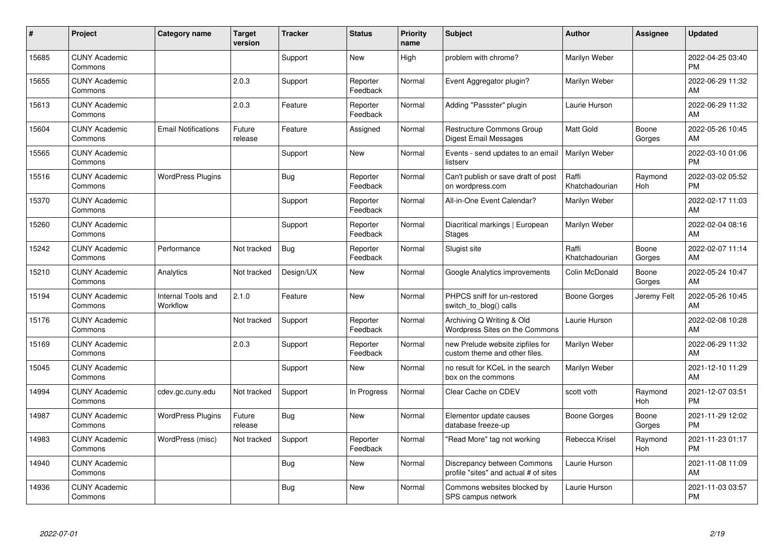| $\#$  | Project                         | <b>Category name</b>           | <b>Target</b><br>version | <b>Tracker</b> | <b>Status</b>        | Priority<br>name | <b>Subject</b>                                                       | <b>Author</b>           | <b>Assignee</b> | <b>Updated</b>                |
|-------|---------------------------------|--------------------------------|--------------------------|----------------|----------------------|------------------|----------------------------------------------------------------------|-------------------------|-----------------|-------------------------------|
| 15685 | <b>CUNY Academic</b><br>Commons |                                |                          | Support        | <b>New</b>           | High             | problem with chrome?                                                 | Marilyn Weber           |                 | 2022-04-25 03:40<br><b>PM</b> |
| 15655 | <b>CUNY Academic</b><br>Commons |                                | 2.0.3                    | Support        | Reporter<br>Feedback | Normal           | Event Aggregator plugin?                                             | Marilyn Weber           |                 | 2022-06-29 11:32<br>AM        |
| 15613 | <b>CUNY Academic</b><br>Commons |                                | 2.0.3                    | Feature        | Reporter<br>Feedback | Normal           | Adding "Passster" plugin                                             | Laurie Hurson           |                 | 2022-06-29 11:32<br>AM        |
| 15604 | <b>CUNY Academic</b><br>Commons | <b>Email Notifications</b>     | Future<br>release        | Feature        | Assigned             | Normal           | Restructure Commons Group<br>Digest Email Messages                   | <b>Matt Gold</b>        | Boone<br>Gorges | 2022-05-26 10:45<br>AM        |
| 15565 | <b>CUNY Academic</b><br>Commons |                                |                          | Support        | <b>New</b>           | Normal           | Events - send updates to an email<br>listserv                        | Marilyn Weber           |                 | 2022-03-10 01:06<br><b>PM</b> |
| 15516 | <b>CUNY Academic</b><br>Commons | <b>WordPress Plugins</b>       |                          | <b>Bug</b>     | Reporter<br>Feedback | Normal           | Can't publish or save draft of post<br>on wordpress.com              | Raffi<br>Khatchadourian | Raymond<br>Hoh  | 2022-03-02 05:52<br><b>PM</b> |
| 15370 | <b>CUNY Academic</b><br>Commons |                                |                          | Support        | Reporter<br>Feedback | Normal           | All-in-One Event Calendar?                                           | Marilyn Weber           |                 | 2022-02-17 11:03<br><b>AM</b> |
| 15260 | <b>CUNY Academic</b><br>Commons |                                |                          | Support        | Reporter<br>Feedback | Normal           | Diacritical markings   European<br><b>Stages</b>                     | Marilyn Weber           |                 | 2022-02-04 08:16<br>AM        |
| 15242 | <b>CUNY Academic</b><br>Commons | Performance                    | Not tracked              | Bug            | Reporter<br>Feedback | Normal           | Slugist site                                                         | Raffi<br>Khatchadourian | Boone<br>Gorges | 2022-02-07 11:14<br>AM        |
| 15210 | <b>CUNY Academic</b><br>Commons | Analytics                      | Not tracked              | Design/UX      | New                  | Normal           | Google Analytics improvements                                        | Colin McDonald          | Boone<br>Gorges | 2022-05-24 10:47<br>AM        |
| 15194 | <b>CUNY Academic</b><br>Commons | Internal Tools and<br>Workflow | 2.1.0                    | Feature        | <b>New</b>           | Normal           | PHPCS sniff for un-restored<br>switch_to_blog() calls                | Boone Gorges            | Jeremy Felt     | 2022-05-26 10:45<br>AM        |
| 15176 | <b>CUNY Academic</b><br>Commons |                                | Not tracked              | Support        | Reporter<br>Feedback | Normal           | Archiving Q Writing & Old<br>Wordpress Sites on the Commons          | Laurie Hurson           |                 | 2022-02-08 10:28<br>AM        |
| 15169 | <b>CUNY Academic</b><br>Commons |                                | 2.0.3                    | Support        | Reporter<br>Feedback | Normal           | new Prelude website zipfiles for<br>custom theme and other files.    | Marilyn Weber           |                 | 2022-06-29 11:32<br>AM        |
| 15045 | <b>CUNY Academic</b><br>Commons |                                |                          | Support        | <b>New</b>           | Normal           | no result for KCeL in the search<br>box on the commons               | Marilyn Weber           |                 | 2021-12-10 11:29<br>AM        |
| 14994 | <b>CUNY Academic</b><br>Commons | cdev.gc.cuny.edu               | Not tracked              | Support        | In Progress          | Normal           | Clear Cache on CDEV                                                  | scott voth              | Raymond<br>Hoh  | 2021-12-07 03:51<br><b>PM</b> |
| 14987 | <b>CUNY Academic</b><br>Commons | <b>WordPress Plugins</b>       | Future<br>release        | Bug            | <b>New</b>           | Normal           | Elementor update causes<br>database freeze-up                        | Boone Gorges            | Boone<br>Gorges | 2021-11-29 12:02<br><b>PM</b> |
| 14983 | <b>CUNY Academic</b><br>Commons | WordPress (misc)               | Not tracked              | Support        | Reporter<br>Feedback | Normal           | "Read More" tag not working                                          | Rebecca Krisel          | Raymond<br>Hoh  | 2021-11-23 01:17<br><b>PM</b> |
| 14940 | <b>CUNY Academic</b><br>Commons |                                |                          | Bug            | New                  | Normal           | Discrepancy between Commons<br>profile "sites" and actual # of sites | Laurie Hurson           |                 | 2021-11-08 11:09<br>AM        |
| 14936 | <b>CUNY Academic</b><br>Commons |                                |                          | Bug            | <b>New</b>           | Normal           | Commons websites blocked by<br>SPS campus network                    | Laurie Hurson           |                 | 2021-11-03 03:57<br>PM        |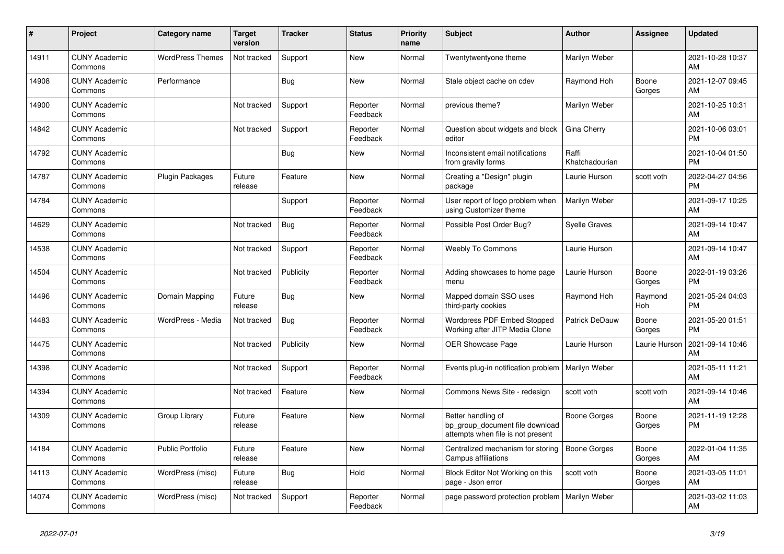| #     | <b>Project</b>                  | Category name           | <b>Target</b><br>version | <b>Tracker</b> | <b>Status</b>        | <b>Priority</b><br>name | <b>Subject</b>                                                                             | <b>Author</b>           | Assignee        | <b>Updated</b>                |
|-------|---------------------------------|-------------------------|--------------------------|----------------|----------------------|-------------------------|--------------------------------------------------------------------------------------------|-------------------------|-----------------|-------------------------------|
| 14911 | <b>CUNY Academic</b><br>Commons | <b>WordPress Themes</b> | Not tracked              | Support        | New                  | Normal                  | Twentytwentyone theme                                                                      | Marilyn Weber           |                 | 2021-10-28 10:37<br>AM        |
| 14908 | <b>CUNY Academic</b><br>Commons | Performance             |                          | Bug            | New                  | Normal                  | Stale object cache on cdev                                                                 | Raymond Hoh             | Boone<br>Gorges | 2021-12-07 09:45<br>AM        |
| 14900 | <b>CUNY Academic</b><br>Commons |                         | Not tracked              | Support        | Reporter<br>Feedback | Normal                  | previous theme?                                                                            | Marilyn Weber           |                 | 2021-10-25 10:31<br>AM        |
| 14842 | <b>CUNY Academic</b><br>Commons |                         | Not tracked              | Support        | Reporter<br>Feedback | Normal                  | Question about widgets and block<br>editor                                                 | Gina Cherry             |                 | 2021-10-06 03:01<br><b>PM</b> |
| 14792 | <b>CUNY Academic</b><br>Commons |                         |                          | Bug            | New                  | Normal                  | Inconsistent email notifications<br>from gravity forms                                     | Raffi<br>Khatchadourian |                 | 2021-10-04 01:50<br><b>PM</b> |
| 14787 | <b>CUNY Academic</b><br>Commons | Plugin Packages         | Future<br>release        | Feature        | New                  | Normal                  | Creating a "Design" plugin<br>package                                                      | Laurie Hurson           | scott voth      | 2022-04-27 04:56<br><b>PM</b> |
| 14784 | <b>CUNY Academic</b><br>Commons |                         |                          | Support        | Reporter<br>Feedback | Normal                  | User report of logo problem when<br>using Customizer theme                                 | Marilyn Weber           |                 | 2021-09-17 10:25<br>AM        |
| 14629 | <b>CUNY Academic</b><br>Commons |                         | Not tracked              | Bug            | Reporter<br>Feedback | Normal                  | Possible Post Order Bug?                                                                   | <b>Syelle Graves</b>    |                 | 2021-09-14 10:47<br>AM        |
| 14538 | <b>CUNY Academic</b><br>Commons |                         | Not tracked              | Support        | Reporter<br>Feedback | Normal                  | <b>Weebly To Commons</b>                                                                   | Laurie Hurson           |                 | 2021-09-14 10:47<br>AM        |
| 14504 | <b>CUNY Academic</b><br>Commons |                         | Not tracked              | Publicity      | Reporter<br>Feedback | Normal                  | Adding showcases to home page<br>menu                                                      | Laurie Hurson           | Boone<br>Gorges | 2022-01-19 03:26<br><b>PM</b> |
| 14496 | <b>CUNY Academic</b><br>Commons | Domain Mapping          | Future<br>release        | Bug            | <b>New</b>           | Normal                  | Mapped domain SSO uses<br>third-party cookies                                              | Raymond Hoh             | Raymond<br>Hoh  | 2021-05-24 04:03<br><b>PM</b> |
| 14483 | <b>CUNY Academic</b><br>Commons | WordPress - Media       | Not tracked              | <b>Bug</b>     | Reporter<br>Feedback | Normal                  | Wordpress PDF Embed Stopped<br>Working after JITP Media Clone                              | Patrick DeDauw          | Boone<br>Gorges | 2021-05-20 01:51<br><b>PM</b> |
| 14475 | <b>CUNY Academic</b><br>Commons |                         | Not tracked              | Publicity      | New                  | Normal                  | <b>OER Showcase Page</b>                                                                   | Laurie Hurson           | Laurie Hurson   | 2021-09-14 10:46<br>AM        |
| 14398 | <b>CUNY Academic</b><br>Commons |                         | Not tracked              | Support        | Reporter<br>Feedback | Normal                  | Events plug-in notification problem                                                        | Marilyn Weber           |                 | 2021-05-11 11:21<br>AM        |
| 14394 | <b>CUNY Academic</b><br>Commons |                         | Not tracked              | Feature        | <b>New</b>           | Normal                  | Commons News Site - redesign                                                               | scott voth              | scott voth      | 2021-09-14 10:46<br>AM        |
| 14309 | <b>CUNY Academic</b><br>Commons | Group Library           | Future<br>release        | Feature        | New                  | Normal                  | Better handling of<br>bp_group_document file download<br>attempts when file is not present | Boone Gorges            | Boone<br>Gorges | 2021-11-19 12:28<br><b>PM</b> |
| 14184 | <b>CUNY Academic</b><br>Commons | <b>Public Portfolio</b> | Future<br>release        | Feature        | <b>New</b>           | Normal                  | Centralized mechanism for storing<br>Campus affiliations                                   | Boone Gorges            | Boone<br>Gorges | 2022-01-04 11:35<br>AM        |
| 14113 | <b>CUNY Academic</b><br>Commons | WordPress (misc)        | Future<br>release        | Bug            | Hold                 | Normal                  | Block Editor Not Working on this<br>page - Json error                                      | scott voth              | Boone<br>Gorges | 2021-03-05 11:01<br>AM        |
| 14074 | <b>CUNY Academic</b><br>Commons | WordPress (misc)        | Not tracked              | Support        | Reporter<br>Feedback | Normal                  | page password protection problem                                                           | Marilyn Weber           |                 | 2021-03-02 11:03<br>AM        |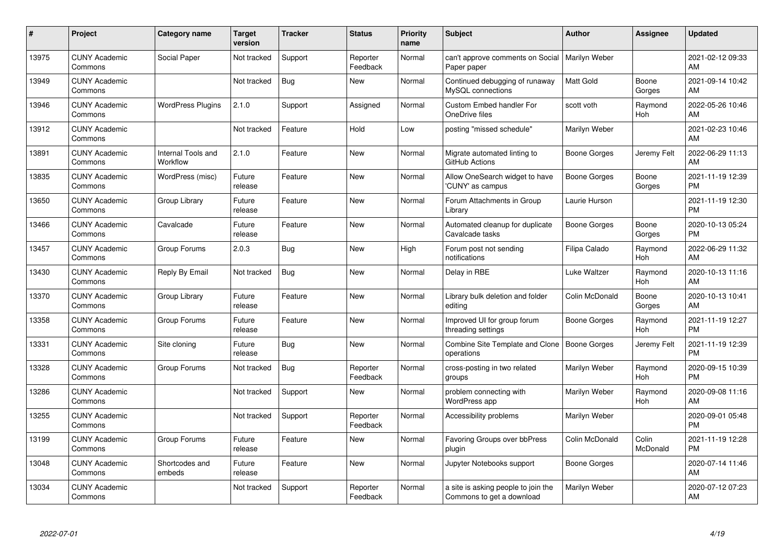| #     | Project                         | <b>Category name</b>                  | <b>Target</b><br>version | <b>Tracker</b> | <b>Status</b>        | Priority<br>name | <b>Subject</b>                                                   | <b>Author</b>    | <b>Assignee</b>   | <b>Updated</b>                |
|-------|---------------------------------|---------------------------------------|--------------------------|----------------|----------------------|------------------|------------------------------------------------------------------|------------------|-------------------|-------------------------------|
| 13975 | <b>CUNY Academic</b><br>Commons | Social Paper                          | Not tracked              | Support        | Reporter<br>Feedback | Normal           | can't approve comments on Social<br>Paper paper                  | Marilyn Weber    |                   | 2021-02-12 09:33<br>AM        |
| 13949 | <b>CUNY Academic</b><br>Commons |                                       | Not tracked              | Bug            | New                  | Normal           | Continued debugging of runaway<br>MySQL connections              | <b>Matt Gold</b> | Boone<br>Gorges   | 2021-09-14 10:42<br>AM        |
| 13946 | <b>CUNY Academic</b><br>Commons | <b>WordPress Plugins</b>              | 2.1.0                    | Support        | Assigned             | Normal           | <b>Custom Embed handler For</b><br>OneDrive files                | scott voth       | Raymond<br>Hoh    | 2022-05-26 10:46<br>AM        |
| 13912 | <b>CUNY Academic</b><br>Commons |                                       | Not tracked              | Feature        | Hold                 | Low              | posting "missed schedule"                                        | Marilyn Weber    |                   | 2021-02-23 10:46<br>AM        |
| 13891 | <b>CUNY Academic</b><br>Commons | <b>Internal Tools and</b><br>Workflow | 2.1.0                    | Feature        | <b>New</b>           | Normal           | Migrate automated linting to<br>GitHub Actions                   | Boone Gorges     | Jeremy Felt       | 2022-06-29 11:13<br>AM        |
| 13835 | <b>CUNY Academic</b><br>Commons | WordPress (misc)                      | Future<br>release        | Feature        | <b>New</b>           | Normal           | Allow OneSearch widget to have<br>'CUNY' as campus               | Boone Gorges     | Boone<br>Gorges   | 2021-11-19 12:39<br><b>PM</b> |
| 13650 | <b>CUNY Academic</b><br>Commons | Group Library                         | Future<br>release        | Feature        | New                  | Normal           | Forum Attachments in Group<br>Library                            | Laurie Hurson    |                   | 2021-11-19 12:30<br><b>PM</b> |
| 13466 | <b>CUNY Academic</b><br>Commons | Cavalcade                             | Future<br>release        | Feature        | <b>New</b>           | Normal           | Automated cleanup for duplicate<br>Cavalcade tasks               | Boone Gorges     | Boone<br>Gorges   | 2020-10-13 05:24<br><b>PM</b> |
| 13457 | <b>CUNY Academic</b><br>Commons | Group Forums                          | 2.0.3                    | Bug            | New                  | High             | Forum post not sending<br>notifications                          | Filipa Calado    | Raymond<br>Hoh    | 2022-06-29 11:32<br>AM        |
| 13430 | <b>CUNY Academic</b><br>Commons | Reply By Email                        | Not tracked              | <b>Bug</b>     | New                  | Normal           | Delay in RBE                                                     | Luke Waltzer     | Raymond<br>Hoh    | 2020-10-13 11:16<br>AM        |
| 13370 | <b>CUNY Academic</b><br>Commons | Group Library                         | Future<br>release        | Feature        | New                  | Normal           | Library bulk deletion and folder<br>editing                      | Colin McDonald   | Boone<br>Gorges   | 2020-10-13 10:41<br>AM        |
| 13358 | <b>CUNY Academic</b><br>Commons | Group Forums                          | Future<br>release        | Feature        | New                  | Normal           | Improved UI for group forum<br>threading settings                | Boone Gorges     | Raymond<br>Hoh    | 2021-11-19 12:27<br><b>PM</b> |
| 13331 | <b>CUNY Academic</b><br>Commons | Site cloning                          | Future<br>release        | <b>Bug</b>     | New                  | Normal           | Combine Site Template and Clone   Boone Gorges<br>operations     |                  | Jeremy Felt       | 2021-11-19 12:39<br><b>PM</b> |
| 13328 | <b>CUNY Academic</b><br>Commons | Group Forums                          | Not tracked              | Bug            | Reporter<br>Feedback | Normal           | cross-posting in two related<br>groups                           | Marilyn Weber    | Raymond<br>Hoh    | 2020-09-15 10:39<br><b>PM</b> |
| 13286 | <b>CUNY Academic</b><br>Commons |                                       | Not tracked              | Support        | New                  | Normal           | problem connecting with<br>WordPress app                         | Marilyn Weber    | Raymond<br>Hoh    | 2020-09-08 11:16<br>AM        |
| 13255 | <b>CUNY Academic</b><br>Commons |                                       | Not tracked              | Support        | Reporter<br>Feedback | Normal           | Accessibility problems                                           | Marilyn Weber    |                   | 2020-09-01 05:48<br><b>PM</b> |
| 13199 | <b>CUNY Academic</b><br>Commons | Group Forums                          | Future<br>release        | Feature        | New                  | Normal           | Favoring Groups over bbPress<br>plugin                           | Colin McDonald   | Colin<br>McDonald | 2021-11-19 12:28<br><b>PM</b> |
| 13048 | <b>CUNY Academic</b><br>Commons | Shortcodes and<br>embeds              | Future<br>release        | Feature        | New                  | Normal           | Jupyter Notebooks support                                        | Boone Gorges     |                   | 2020-07-14 11:46<br>AM        |
| 13034 | <b>CUNY Academic</b><br>Commons |                                       | Not tracked              | Support        | Reporter<br>Feedback | Normal           | a site is asking people to join the<br>Commons to get a download | Marilyn Weber    |                   | 2020-07-12 07:23<br>AM        |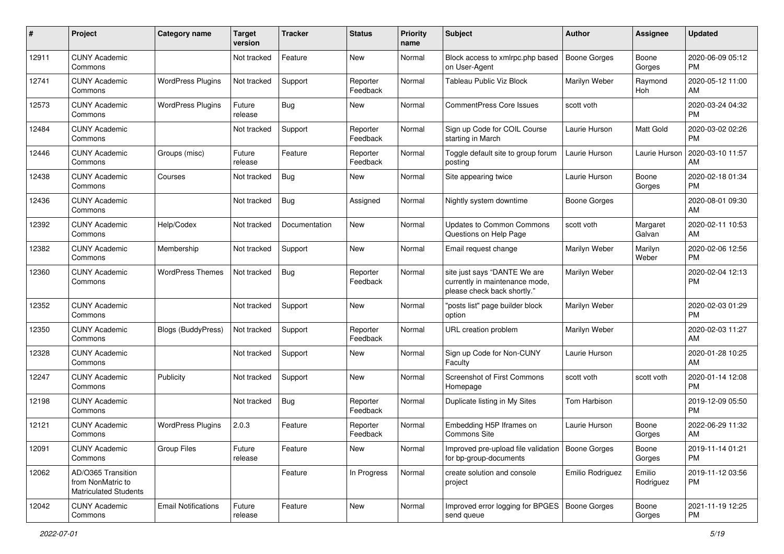| #     | Project                                                                 | <b>Category name</b>       | <b>Target</b><br>version | <b>Tracker</b> | <b>Status</b>        | Priority<br>name | Subject                                                                                       | Author              | <b>Assignee</b>     | <b>Updated</b>                |
|-------|-------------------------------------------------------------------------|----------------------------|--------------------------|----------------|----------------------|------------------|-----------------------------------------------------------------------------------------------|---------------------|---------------------|-------------------------------|
| 12911 | <b>CUNY Academic</b><br>Commons                                         |                            | Not tracked              | Feature        | <b>New</b>           | Normal           | Block access to xmlrpc.php based<br>on User-Agent                                             | <b>Boone Gorges</b> | Boone<br>Gorges     | 2020-06-09 05:12<br><b>PM</b> |
| 12741 | <b>CUNY Academic</b><br>Commons                                         | <b>WordPress Plugins</b>   | Not tracked              | Support        | Reporter<br>Feedback | Normal           | Tableau Public Viz Block                                                                      | Marilyn Weber       | Raymond<br>Hoh      | 2020-05-12 11:00<br>AM        |
| 12573 | <b>CUNY Academic</b><br>Commons                                         | <b>WordPress Plugins</b>   | Future<br>release        | <b>Bug</b>     | New                  | Normal           | <b>CommentPress Core Issues</b>                                                               | scott voth          |                     | 2020-03-24 04:32<br><b>PM</b> |
| 12484 | <b>CUNY Academic</b><br>Commons                                         |                            | Not tracked              | Support        | Reporter<br>Feedback | Normal           | Sign up Code for COIL Course<br>starting in March                                             | Laurie Hurson       | Matt Gold           | 2020-03-02 02:26<br><b>PM</b> |
| 12446 | <b>CUNY Academic</b><br>Commons                                         | Groups (misc)              | Future<br>release        | Feature        | Reporter<br>Feedback | Normal           | Toggle default site to group forum<br>posting                                                 | Laurie Hurson       | Laurie Hurson       | 2020-03-10 11:57<br>AM        |
| 12438 | <b>CUNY Academic</b><br>Commons                                         | Courses                    | Not tracked              | Bug            | New                  | Normal           | Site appearing twice                                                                          | Laurie Hurson       | Boone<br>Gorges     | 2020-02-18 01:34<br><b>PM</b> |
| 12436 | <b>CUNY Academic</b><br>Commons                                         |                            | Not tracked              | Bug            | Assigned             | Normal           | Nightly system downtime                                                                       | <b>Boone Gorges</b> |                     | 2020-08-01 09:30<br>AM        |
| 12392 | <b>CUNY Academic</b><br>Commons                                         | Help/Codex                 | Not tracked              | Documentation  | <b>New</b>           | Normal           | Updates to Common Commons<br>Questions on Help Page                                           | scott voth          | Margaret<br>Galvan  | 2020-02-11 10:53<br>AM        |
| 12382 | <b>CUNY Academic</b><br>Commons                                         | Membership                 | Not tracked              | Support        | New                  | Normal           | Email request change                                                                          | Marilyn Weber       | Marilyn<br>Weber    | 2020-02-06 12:56<br><b>PM</b> |
| 12360 | <b>CUNY Academic</b><br>Commons                                         | <b>WordPress Themes</b>    | Not tracked              | Bug            | Reporter<br>Feedback | Normal           | site just says "DANTE We are<br>currently in maintenance mode,<br>please check back shortly." | Marilyn Weber       |                     | 2020-02-04 12:13<br><b>PM</b> |
| 12352 | <b>CUNY Academic</b><br>Commons                                         |                            | Not tracked              | Support        | New                  | Normal           | "posts list" page builder block<br>option                                                     | Marilyn Weber       |                     | 2020-02-03 01:29<br><b>PM</b> |
| 12350 | <b>CUNY Academic</b><br>Commons                                         | Blogs (BuddyPress)         | Not tracked              | Support        | Reporter<br>Feedback | Normal           | URL creation problem                                                                          | Marilyn Weber       |                     | 2020-02-03 11:27<br>AM        |
| 12328 | <b>CUNY Academic</b><br>Commons                                         |                            | Not tracked              | Support        | New                  | Normal           | Sign up Code for Non-CUNY<br>Faculty                                                          | Laurie Hurson       |                     | 2020-01-28 10:25<br>AM        |
| 12247 | <b>CUNY Academic</b><br>Commons                                         | Publicity                  | Not tracked              | Support        | New                  | Normal           | Screenshot of First Commons<br>Homepage                                                       | scott voth          | scott voth          | 2020-01-14 12:08<br><b>PM</b> |
| 12198 | <b>CUNY Academic</b><br>Commons                                         |                            | Not tracked              | Bug            | Reporter<br>Feedback | Normal           | Duplicate listing in My Sites                                                                 | Tom Harbison        |                     | 2019-12-09 05:50<br><b>PM</b> |
| 12121 | <b>CUNY Academic</b><br>Commons                                         | <b>WordPress Plugins</b>   | 2.0.3                    | Feature        | Reporter<br>Feedback | Normal           | Embedding H5P Iframes on<br>Commons Site                                                      | Laurie Hurson       | Boone<br>Gorges     | 2022-06-29 11:32<br>AM        |
| 12091 | <b>CUNY Academic</b><br>Commons                                         | <b>Group Files</b>         | Future<br>release        | Feature        | New                  | Normal           | Improved pre-upload file validation   Boone Gorges<br>for bp-group-documents                  |                     | Boone<br>Gorges     | 2019-11-14 01:21<br>PM        |
| 12062 | AD/O365 Transition<br>from NonMatric to<br><b>Matriculated Students</b> |                            |                          | Feature        | In Progress          | Normal           | create solution and console<br>project                                                        | Emilio Rodriguez    | Emilio<br>Rodriguez | 2019-11-12 03:56<br><b>PM</b> |
| 12042 | <b>CUNY Academic</b><br>Commons                                         | <b>Email Notifications</b> | Future<br>release        | Feature        | New                  | Normal           | Improved error logging for BPGES   Boone Gorges<br>send queue                                 |                     | Boone<br>Gorges     | 2021-11-19 12:25<br>PM        |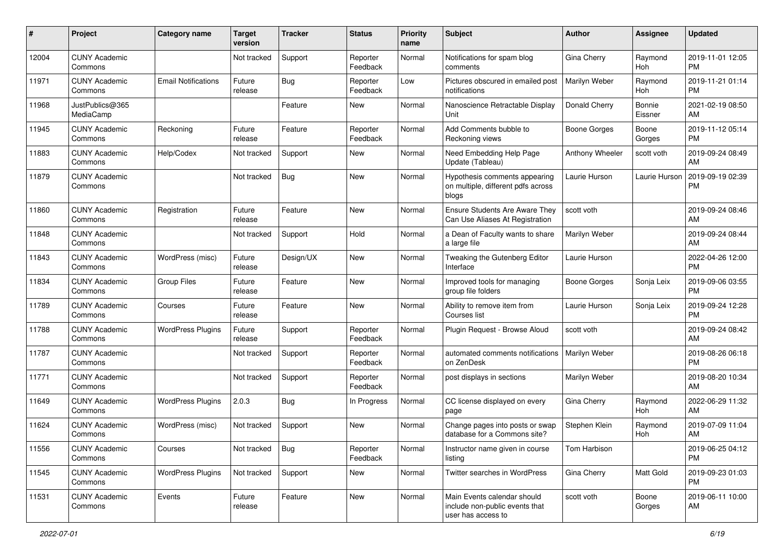| #     | Project                         | Category name              | <b>Target</b><br>version | <b>Tracker</b> | <b>Status</b>        | <b>Priority</b><br>name | Subject                                                                             | Author              | Assignee          | <b>Updated</b>                |
|-------|---------------------------------|----------------------------|--------------------------|----------------|----------------------|-------------------------|-------------------------------------------------------------------------------------|---------------------|-------------------|-------------------------------|
| 12004 | <b>CUNY Academic</b><br>Commons |                            | Not tracked              | Support        | Reporter<br>Feedback | Normal                  | Notifications for spam blog<br>comments                                             | Gina Cherry         | Raymond<br>Hoh    | 2019-11-01 12:05<br><b>PM</b> |
| 11971 | <b>CUNY Academic</b><br>Commons | <b>Email Notifications</b> | Future<br>release        | Bug            | Reporter<br>Feedback | Low                     | Pictures obscured in emailed post<br>notifications                                  | Marilyn Weber       | Raymond<br>Hoh    | 2019-11-21 01:14<br><b>PM</b> |
| 11968 | JustPublics@365<br>MediaCamp    |                            |                          | Feature        | <b>New</b>           | Normal                  | Nanoscience Retractable Display<br>Unit                                             | Donald Cherry       | Bonnie<br>Eissner | 2021-02-19 08:50<br>AM        |
| 11945 | <b>CUNY Academic</b><br>Commons | Reckoning                  | Future<br>release        | Feature        | Reporter<br>Feedback | Normal                  | Add Comments bubble to<br>Reckoning views                                           | <b>Boone Gorges</b> | Boone<br>Gorges   | 2019-11-12 05:14<br><b>PM</b> |
| 11883 | <b>CUNY Academic</b><br>Commons | Help/Codex                 | Not tracked              | Support        | New                  | Normal                  | Need Embedding Help Page<br>Update (Tableau)                                        | Anthony Wheeler     | scott voth        | 2019-09-24 08:49<br>AM        |
| 11879 | <b>CUNY Academic</b><br>Commons |                            | Not tracked              | Bug            | <b>New</b>           | Normal                  | Hypothesis comments appearing<br>on multiple, different pdfs across<br>blogs        | Laurie Hurson       | Laurie Hurson     | 2019-09-19 02:39<br><b>PM</b> |
| 11860 | <b>CUNY Academic</b><br>Commons | Registration               | Future<br>release        | Feature        | <b>New</b>           | Normal                  | Ensure Students Are Aware They<br>Can Use Aliases At Registration                   | scott voth          |                   | 2019-09-24 08:46<br>AM        |
| 11848 | <b>CUNY Academic</b><br>Commons |                            | Not tracked              | Support        | Hold                 | Normal                  | a Dean of Faculty wants to share<br>a large file                                    | Marilyn Weber       |                   | 2019-09-24 08:44<br>AM        |
| 11843 | <b>CUNY Academic</b><br>Commons | WordPress (misc)           | Future<br>release        | Design/UX      | <b>New</b>           | Normal                  | Tweaking the Gutenberg Editor<br>Interface                                          | Laurie Hurson       |                   | 2022-04-26 12:00<br><b>PM</b> |
| 11834 | <b>CUNY Academic</b><br>Commons | <b>Group Files</b>         | Future<br>release        | Feature        | <b>New</b>           | Normal                  | Improved tools for managing<br>aroup file folders                                   | Boone Gorges        | Sonja Leix        | 2019-09-06 03:55<br><b>PM</b> |
| 11789 | <b>CUNY Academic</b><br>Commons | Courses                    | Future<br>release        | Feature        | <b>New</b>           | Normal                  | Ability to remove item from<br>Courses list                                         | Laurie Hurson       | Sonja Leix        | 2019-09-24 12:28<br><b>PM</b> |
| 11788 | <b>CUNY Academic</b><br>Commons | <b>WordPress Plugins</b>   | Future<br>release        | Support        | Reporter<br>Feedback | Normal                  | Plugin Request - Browse Aloud                                                       | scott voth          |                   | 2019-09-24 08:42<br>AM        |
| 11787 | <b>CUNY Academic</b><br>Commons |                            | Not tracked              | Support        | Reporter<br>Feedback | Normal                  | automated comments notifications<br>on ZenDesk                                      | Marilyn Weber       |                   | 2019-08-26 06:18<br><b>PM</b> |
| 11771 | <b>CUNY Academic</b><br>Commons |                            | Not tracked              | Support        | Reporter<br>Feedback | Normal                  | post displays in sections                                                           | Marilyn Weber       |                   | 2019-08-20 10:34<br>AM        |
| 11649 | <b>CUNY Academic</b><br>Commons | <b>WordPress Plugins</b>   | 2.0.3                    | Bug            | In Progress          | Normal                  | CC license displayed on every<br>page                                               | Gina Cherry         | Raymond<br>Hoh    | 2022-06-29 11:32<br>AM        |
| 11624 | <b>CUNY Academic</b><br>Commons | WordPress (misc)           | Not tracked              | Support        | New                  | Normal                  | Change pages into posts or swap<br>database for a Commons site?                     | Stephen Klein       | Raymond<br>Hoh    | 2019-07-09 11:04<br>AM        |
| 11556 | <b>CUNY Academic</b><br>Commons | Courses                    | Not tracked              | $\vert$ Bug    | Reporter<br>Feedback | Normal                  | Instructor name given in course<br>listing                                          | Tom Harbison        |                   | 2019-06-25 04:12<br>PM        |
| 11545 | <b>CUNY Academic</b><br>Commons | <b>WordPress Plugins</b>   | Not tracked              | Support        | New                  | Normal                  | Twitter searches in WordPress                                                       | Gina Cherry         | Matt Gold         | 2019-09-23 01:03<br><b>PM</b> |
| 11531 | <b>CUNY Academic</b><br>Commons | Events                     | Future<br>release        | Feature        | New                  | Normal                  | Main Events calendar should<br>include non-public events that<br>user has access to | scott voth          | Boone<br>Gorges   | 2019-06-11 10:00<br>AM        |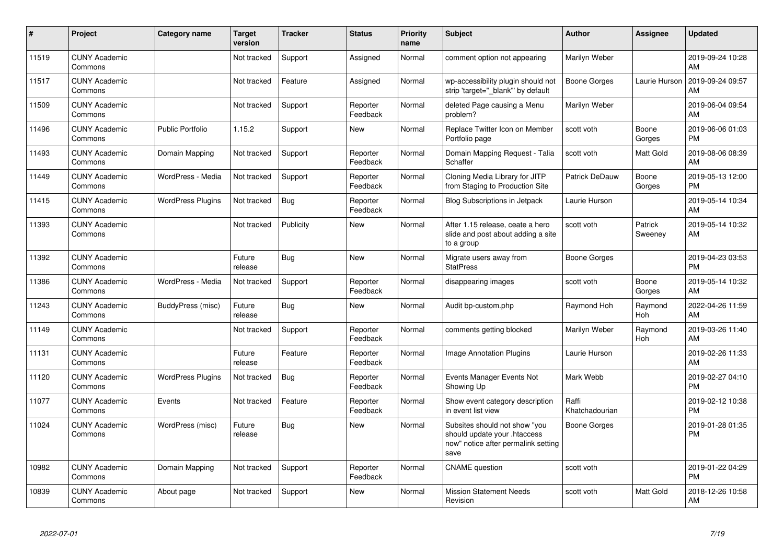| #     | Project                         | Category name            | <b>Target</b><br>version | <b>Tracker</b> | <b>Status</b>        | <b>Priority</b><br>name | <b>Subject</b>                                                                                               | <b>Author</b>           | Assignee           | <b>Updated</b>                |
|-------|---------------------------------|--------------------------|--------------------------|----------------|----------------------|-------------------------|--------------------------------------------------------------------------------------------------------------|-------------------------|--------------------|-------------------------------|
| 11519 | <b>CUNY Academic</b><br>Commons |                          | Not tracked              | Support        | Assigned             | Normal                  | comment option not appearing                                                                                 | Marilyn Weber           |                    | 2019-09-24 10:28<br>AM        |
| 11517 | <b>CUNY Academic</b><br>Commons |                          | Not tracked              | Feature        | Assigned             | Normal                  | wp-accessibility plugin should not<br>strip 'target=" blank" by default                                      | <b>Boone Gorges</b>     | Laurie Hurson      | 2019-09-24 09:57<br>AM        |
| 11509 | <b>CUNY Academic</b><br>Commons |                          | Not tracked              | Support        | Reporter<br>Feedback | Normal                  | deleted Page causing a Menu<br>problem?                                                                      | Marilyn Weber           |                    | 2019-06-04 09:54<br>AM        |
| 11496 | <b>CUNY Academic</b><br>Commons | <b>Public Portfolio</b>  | 1.15.2                   | Support        | <b>New</b>           | Normal                  | Replace Twitter Icon on Member<br>Portfolio page                                                             | scott voth              | Boone<br>Gorges    | 2019-06-06 01:03<br><b>PM</b> |
| 11493 | <b>CUNY Academic</b><br>Commons | Domain Mapping           | Not tracked              | Support        | Reporter<br>Feedback | Normal                  | Domain Mapping Request - Talia<br>Schaffer                                                                   | scott voth              | Matt Gold          | 2019-08-06 08:39<br>AM        |
| 11449 | <b>CUNY Academic</b><br>Commons | WordPress - Media        | Not tracked              | Support        | Reporter<br>Feedback | Normal                  | Cloning Media Library for JITP<br>from Staging to Production Site                                            | Patrick DeDauw          | Boone<br>Gorges    | 2019-05-13 12:00<br><b>PM</b> |
| 11415 | <b>CUNY Academic</b><br>Commons | <b>WordPress Plugins</b> | Not tracked              | Bug            | Reporter<br>Feedback | Normal                  | <b>Blog Subscriptions in Jetpack</b>                                                                         | Laurie Hurson           |                    | 2019-05-14 10:34<br>AM        |
| 11393 | <b>CUNY Academic</b><br>Commons |                          | Not tracked              | Publicity      | <b>New</b>           | Normal                  | After 1.15 release, ceate a hero<br>slide and post about adding a site<br>to a group                         | scott voth              | Patrick<br>Sweeney | 2019-05-14 10:32<br>AM        |
| 11392 | <b>CUNY Academic</b><br>Commons |                          | Future<br>release        | Bug            | <b>New</b>           | Normal                  | Migrate users away from<br><b>StatPress</b>                                                                  | Boone Gorges            |                    | 2019-04-23 03:53<br><b>PM</b> |
| 11386 | <b>CUNY Academic</b><br>Commons | WordPress - Media        | Not tracked              | Support        | Reporter<br>Feedback | Normal                  | disappearing images                                                                                          | scott voth              | Boone<br>Gorges    | 2019-05-14 10:32<br>AM        |
| 11243 | <b>CUNY Academic</b><br>Commons | BuddyPress (misc)        | Future<br>release        | Bug            | <b>New</b>           | Normal                  | Audit bp-custom.php                                                                                          | Raymond Hoh             | Raymond<br>Hoh     | 2022-04-26 11:59<br>AM        |
| 11149 | <b>CUNY Academic</b><br>Commons |                          | Not tracked              | Support        | Reporter<br>Feedback | Normal                  | comments getting blocked                                                                                     | Marilyn Weber           | Raymond<br>Hoh     | 2019-03-26 11:40<br>AM        |
| 11131 | <b>CUNY Academic</b><br>Commons |                          | Future<br>release        | Feature        | Reporter<br>Feedback | Normal                  | <b>Image Annotation Plugins</b>                                                                              | Laurie Hurson           |                    | 2019-02-26 11:33<br>AM        |
| 11120 | <b>CUNY Academic</b><br>Commons | <b>WordPress Plugins</b> | Not tracked              | Bug            | Reporter<br>Feedback | Normal                  | Events Manager Events Not<br>Showing Up                                                                      | Mark Webb               |                    | 2019-02-27 04:10<br><b>PM</b> |
| 11077 | <b>CUNY Academic</b><br>Commons | Events                   | Not tracked              | Feature        | Reporter<br>Feedback | Normal                  | Show event category description<br>in event list view                                                        | Raffi<br>Khatchadourian |                    | 2019-02-12 10:38<br><b>PM</b> |
| 11024 | <b>CUNY Academic</b><br>Commons | WordPress (misc)         | Future<br>release        | Bug            | <b>New</b>           | Normal                  | Subsites should not show "you<br>should update your .htaccess<br>now" notice after permalink setting<br>save | <b>Boone Gorges</b>     |                    | 2019-01-28 01:35<br><b>PM</b> |
| 10982 | <b>CUNY Academic</b><br>Commons | Domain Mapping           | Not tracked              | Support        | Reporter<br>Feedback | Normal                  | <b>CNAME</b> question                                                                                        | scott voth              |                    | 2019-01-22 04:29<br><b>PM</b> |
| 10839 | <b>CUNY Academic</b><br>Commons | About page               | Not tracked              | Support        | <b>New</b>           | Normal                  | <b>Mission Statement Needs</b><br>Revision                                                                   | scott voth              | Matt Gold          | 2018-12-26 10:58<br>AM        |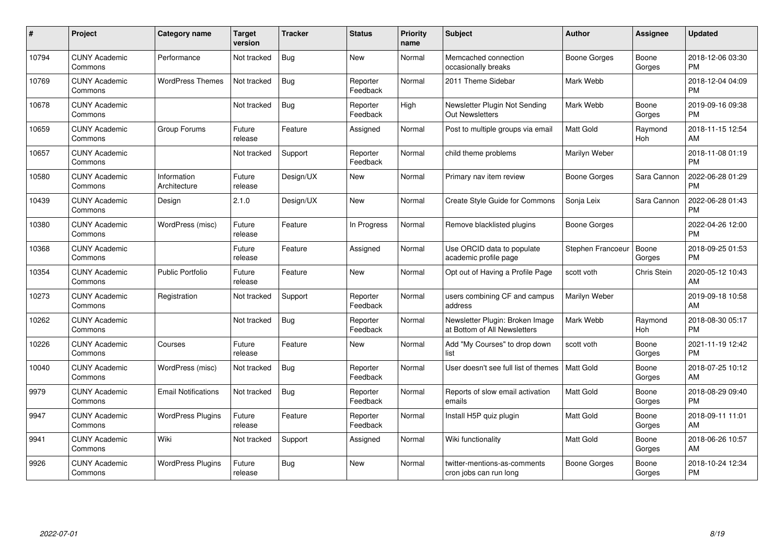| #     | <b>Project</b>                  | <b>Category name</b>        | <b>Target</b><br>version | <b>Tracker</b> | <b>Status</b>        | Priority<br>name | <b>Subject</b>                                                  | <b>Author</b>     | Assignee        | <b>Updated</b>                |
|-------|---------------------------------|-----------------------------|--------------------------|----------------|----------------------|------------------|-----------------------------------------------------------------|-------------------|-----------------|-------------------------------|
| 10794 | <b>CUNY Academic</b><br>Commons | Performance                 | Not tracked              | Bug            | <b>New</b>           | Normal           | Memcached connection<br>occasionally breaks                     | Boone Gorges      | Boone<br>Gorges | 2018-12-06 03:30<br><b>PM</b> |
| 10769 | <b>CUNY Academic</b><br>Commons | <b>WordPress Themes</b>     | Not tracked              | Bug            | Reporter<br>Feedback | Normal           | 2011 Theme Sidebar                                              | Mark Webb         |                 | 2018-12-04 04:09<br><b>PM</b> |
| 10678 | <b>CUNY Academic</b><br>Commons |                             | Not tracked              | Bug            | Reporter<br>Feedback | High             | Newsletter Plugin Not Sending<br><b>Out Newsletters</b>         | Mark Webb         | Boone<br>Gorges | 2019-09-16 09:38<br><b>PM</b> |
| 10659 | <b>CUNY Academic</b><br>Commons | Group Forums                | Future<br>release        | Feature        | Assigned             | Normal           | Post to multiple groups via email                               | <b>Matt Gold</b>  | Raymond<br>Hoh  | 2018-11-15 12:54<br>AM        |
| 10657 | <b>CUNY Academic</b><br>Commons |                             | Not tracked              | Support        | Reporter<br>Feedback | Normal           | child theme problems                                            | Marilyn Weber     |                 | 2018-11-08 01:19<br><b>PM</b> |
| 10580 | <b>CUNY Academic</b><br>Commons | Information<br>Architecture | Future<br>release        | Design/UX      | New                  | Normal           | Primary nav item review                                         | Boone Gorges      | Sara Cannon     | 2022-06-28 01:29<br><b>PM</b> |
| 10439 | <b>CUNY Academic</b><br>Commons | Design                      | 2.1.0                    | Design/UX      | <b>New</b>           | Normal           | Create Style Guide for Commons                                  | Sonja Leix        | Sara Cannon     | 2022-06-28 01:43<br><b>PM</b> |
| 10380 | <b>CUNY Academic</b><br>Commons | WordPress (misc)            | Future<br>release        | Feature        | In Progress          | Normal           | Remove blacklisted plugins                                      | Boone Gorges      |                 | 2022-04-26 12:00<br><b>PM</b> |
| 10368 | <b>CUNY Academic</b><br>Commons |                             | Future<br>release        | Feature        | Assigned             | Normal           | Use ORCID data to populate<br>academic profile page             | Stephen Francoeur | Boone<br>Gorges | 2018-09-25 01:53<br><b>PM</b> |
| 10354 | <b>CUNY Academic</b><br>Commons | <b>Public Portfolio</b>     | Future<br>release        | Feature        | <b>New</b>           | Normal           | Opt out of Having a Profile Page                                | scott voth        | Chris Stein     | 2020-05-12 10:43<br>AM        |
| 10273 | <b>CUNY Academic</b><br>Commons | Registration                | Not tracked              | Support        | Reporter<br>Feedback | Normal           | users combining CF and campus<br>address                        | Marilyn Weber     |                 | 2019-09-18 10:58<br>AM        |
| 10262 | <b>CUNY Academic</b><br>Commons |                             | Not tracked              | Bug            | Reporter<br>Feedback | Normal           | Newsletter Plugin: Broken Image<br>at Bottom of All Newsletters | Mark Webb         | Raymond<br>Hoh  | 2018-08-30 05:17<br><b>PM</b> |
| 10226 | <b>CUNY Academic</b><br>Commons | Courses                     | Future<br>release        | Feature        | New                  | Normal           | Add "My Courses" to drop down<br>list                           | scott voth        | Boone<br>Gorges | 2021-11-19 12:42<br><b>PM</b> |
| 10040 | <b>CUNY Academic</b><br>Commons | WordPress (misc)            | Not tracked              | Bug            | Reporter<br>Feedback | Normal           | User doesn't see full list of themes                            | <b>Matt Gold</b>  | Boone<br>Gorges | 2018-07-25 10:12<br>AM        |
| 9979  | <b>CUNY Academic</b><br>Commons | <b>Email Notifications</b>  | Not tracked              | Bug            | Reporter<br>Feedback | Normal           | Reports of slow email activation<br>emails                      | <b>Matt Gold</b>  | Boone<br>Gorges | 2018-08-29 09:40<br><b>PM</b> |
| 9947  | <b>CUNY Academic</b><br>Commons | <b>WordPress Plugins</b>    | Future<br>release        | Feature        | Reporter<br>Feedback | Normal           | Install H5P quiz plugin                                         | Matt Gold         | Boone<br>Gorges | 2018-09-11 11:01<br>AM        |
| 9941  | <b>CUNY Academic</b><br>Commons | Wiki                        | Not tracked              | Support        | Assigned             | Normal           | Wiki functionality                                              | Matt Gold         | Boone<br>Gorges | 2018-06-26 10:57<br>AM        |
| 9926  | <b>CUNY Academic</b><br>Commons | <b>WordPress Plugins</b>    | Future<br>release        | <b>Bug</b>     | New                  | Normal           | twitter-mentions-as-comments<br>cron jobs can run long          | Boone Gorges      | Boone<br>Gorges | 2018-10-24 12:34<br><b>PM</b> |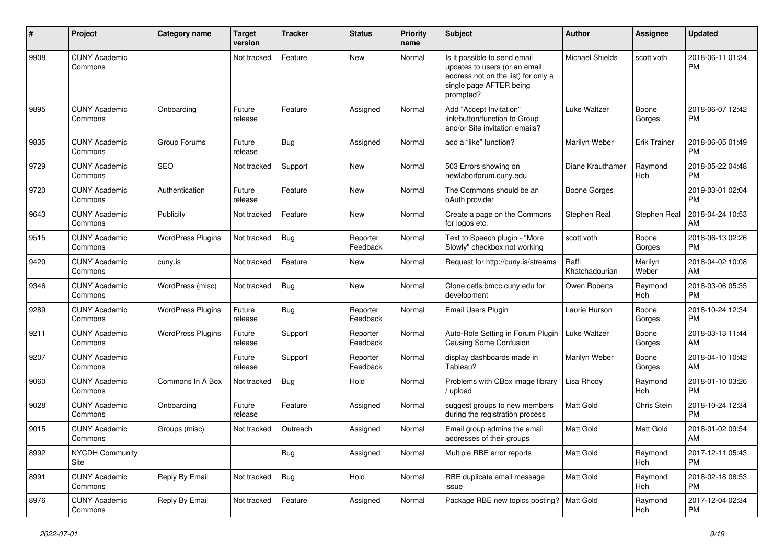| #    | Project                         | Category name            | <b>Target</b><br>version | Tracker    | <b>Status</b>        | <b>Priority</b><br>name | Subject                                                                                                                                      | Author                  | Assignee            | <b>Updated</b>                |
|------|---------------------------------|--------------------------|--------------------------|------------|----------------------|-------------------------|----------------------------------------------------------------------------------------------------------------------------------------------|-------------------------|---------------------|-------------------------------|
| 9908 | <b>CUNY Academic</b><br>Commons |                          | Not tracked              | Feature    | <b>New</b>           | Normal                  | Is it possible to send email<br>updates to users (or an email<br>address not on the list) for only a<br>single page AFTER being<br>prompted? | <b>Michael Shields</b>  | scott voth          | 2018-06-11 01:34<br><b>PM</b> |
| 9895 | <b>CUNY Academic</b><br>Commons | Onboarding               | Future<br>release        | Feature    | Assigned             | Normal                  | Add "Accept Invitation"<br>link/button/function to Group<br>and/or Site invitation emails?                                                   | Luke Waltzer            | Boone<br>Gorges     | 2018-06-07 12:42<br><b>PM</b> |
| 9835 | <b>CUNY Academic</b><br>Commons | Group Forums             | Future<br>release        | Bug        | Assigned             | Normal                  | add a "like" function?                                                                                                                       | Marilyn Weber           | <b>Erik Trainer</b> | 2018-06-05 01:49<br><b>PM</b> |
| 9729 | <b>CUNY Academic</b><br>Commons | <b>SEO</b>               | Not tracked              | Support    | <b>New</b>           | Normal                  | 503 Errors showing on<br>newlaborforum.cuny.edu                                                                                              | Diane Krauthamer        | Raymond<br>Hoh      | 2018-05-22 04:48<br><b>PM</b> |
| 9720 | <b>CUNY Academic</b><br>Commons | Authentication           | Future<br>release        | Feature    | <b>New</b>           | Normal                  | The Commons should be an<br>oAuth provider                                                                                                   | <b>Boone Gorges</b>     |                     | 2019-03-01 02:04<br><b>PM</b> |
| 9643 | <b>CUNY Academic</b><br>Commons | Publicity                | Not tracked              | Feature    | <b>New</b>           | Normal                  | Create a page on the Commons<br>for logos etc.                                                                                               | Stephen Real            | Stephen Real        | 2018-04-24 10:53<br>AM        |
| 9515 | <b>CUNY Academic</b><br>Commons | <b>WordPress Plugins</b> | Not tracked              | Bug        | Reporter<br>Feedback | Normal                  | Text to Speech plugin - "More<br>Slowly" checkbox not working                                                                                | scott voth              | Boone<br>Gorges     | 2018-06-13 02:26<br><b>PM</b> |
| 9420 | <b>CUNY Academic</b><br>Commons | cuny.is                  | Not tracked              | Feature    | New                  | Normal                  | Request for http://cuny.is/streams                                                                                                           | Raffi<br>Khatchadourian | Marilyn<br>Weber    | 2018-04-02 10:08<br>AM        |
| 9346 | <b>CUNY Academic</b><br>Commons | WordPress (misc)         | Not tracked              | Bug        | New                  | Normal                  | Clone cetls.bmcc.cuny.edu for<br>development                                                                                                 | Owen Roberts            | Raymond<br>Hoh      | 2018-03-06 05:35<br><b>PM</b> |
| 9289 | <b>CUNY Academic</b><br>Commons | <b>WordPress Plugins</b> | Future<br>release        | Bug        | Reporter<br>Feedback | Normal                  | Email Users Plugin                                                                                                                           | Laurie Hurson           | Boone<br>Gorges     | 2018-10-24 12:34<br><b>PM</b> |
| 9211 | <b>CUNY Academic</b><br>Commons | <b>WordPress Plugins</b> | Future<br>release        | Support    | Reporter<br>Feedback | Normal                  | Auto-Role Setting in Forum Plugin<br>Causing Some Confusion                                                                                  | Luke Waltzer            | Boone<br>Gorges     | 2018-03-13 11:44<br>AM        |
| 9207 | <b>CUNY Academic</b><br>Commons |                          | Future<br>release        | Support    | Reporter<br>Feedback | Normal                  | display dashboards made in<br>Tableau?                                                                                                       | Marilyn Weber           | Boone<br>Gorges     | 2018-04-10 10:42<br>AM        |
| 9060 | <b>CUNY Academic</b><br>Commons | Commons In A Box         | Not tracked              | Bug        | Hold                 | Normal                  | Problems with CBox image library<br>/ upload                                                                                                 | Lisa Rhody              | Raymond<br>Hoh      | 2018-01-10 03:26<br><b>PM</b> |
| 9028 | <b>CUNY Academic</b><br>Commons | Onboarding               | Future<br>release        | Feature    | Assigned             | Normal                  | suggest groups to new members<br>during the registration process                                                                             | Matt Gold               | Chris Stein         | 2018-10-24 12:34<br><b>PM</b> |
| 9015 | <b>CUNY Academic</b><br>Commons | Groups (misc)            | Not tracked              | Outreach   | Assigned             | Normal                  | Email group admins the email<br>addresses of their groups                                                                                    | <b>Matt Gold</b>        | Matt Gold           | 2018-01-02 09:54<br>AM        |
| 8992 | <b>NYCDH Community</b><br>Site  |                          |                          | <b>Bug</b> | Assigned             | Normal                  | Multiple RBE error reports                                                                                                                   | Matt Gold               | Raymond<br>Hoh      | 2017-12-11 05:43<br><b>PM</b> |
| 8991 | <b>CUNY Academic</b><br>Commons | Reply By Email           | Not tracked              | <b>Bug</b> | Hold                 | Normal                  | RBE duplicate email message<br>issue                                                                                                         | Matt Gold               | Raymond<br>Hoh      | 2018-02-18 08:53<br><b>PM</b> |
| 8976 | <b>CUNY Academic</b><br>Commons | Reply By Email           | Not tracked              | Feature    | Assigned             | Normal                  | Package RBE new topics posting?   Matt Gold                                                                                                  |                         | Raymond<br>Hoh      | 2017-12-04 02:34<br><b>PM</b> |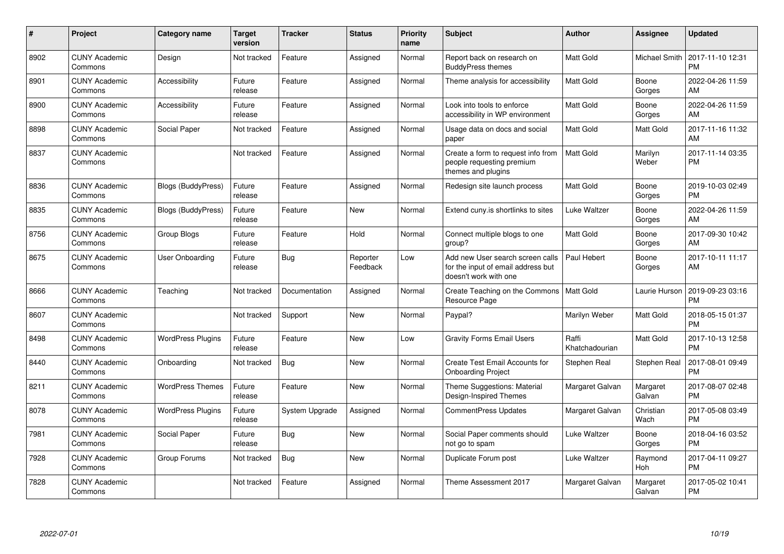| #    | Project                         | <b>Category name</b>      | <b>Target</b><br>version | <b>Tracker</b> | <b>Status</b>        | Priority<br>name | <b>Subject</b>                                                                                  | <b>Author</b>           | <b>Assignee</b>    | <b>Updated</b>                |
|------|---------------------------------|---------------------------|--------------------------|----------------|----------------------|------------------|-------------------------------------------------------------------------------------------------|-------------------------|--------------------|-------------------------------|
| 8902 | <b>CUNY Academic</b><br>Commons | Design                    | Not tracked              | Feature        | Assigned             | Normal           | Report back on research on<br><b>BuddyPress themes</b>                                          | Matt Gold               | Michael Smith      | 2017-11-10 12:31<br>PM        |
| 8901 | <b>CUNY Academic</b><br>Commons | Accessibility             | Future<br>release        | Feature        | Assigned             | Normal           | Theme analysis for accessibility                                                                | <b>Matt Gold</b>        | Boone<br>Gorges    | 2022-04-26 11:59<br>AM        |
| 8900 | <b>CUNY Academic</b><br>Commons | Accessibility             | Future<br>release        | Feature        | Assigned             | Normal           | Look into tools to enforce<br>accessibility in WP environment                                   | <b>Matt Gold</b>        | Boone<br>Gorges    | 2022-04-26 11:59<br>AM        |
| 8898 | <b>CUNY Academic</b><br>Commons | Social Paper              | Not tracked              | Feature        | Assigned             | Normal           | Usage data on docs and social<br>paper                                                          | Matt Gold               | Matt Gold          | 2017-11-16 11:32<br>AM        |
| 8837 | <b>CUNY Academic</b><br>Commons |                           | Not tracked              | Feature        | Assigned             | Normal           | Create a form to request info from<br>people requesting premium<br>themes and plugins           | <b>Matt Gold</b>        | Marilyn<br>Weber   | 2017-11-14 03:35<br><b>PM</b> |
| 8836 | <b>CUNY Academic</b><br>Commons | Blogs (BuddyPress)        | Future<br>release        | Feature        | Assigned             | Normal           | Redesign site launch process                                                                    | <b>Matt Gold</b>        | Boone<br>Gorges    | 2019-10-03 02:49<br><b>PM</b> |
| 8835 | <b>CUNY Academic</b><br>Commons | <b>Blogs (BuddyPress)</b> | Future<br>release        | Feature        | <b>New</b>           | Normal           | Extend cuny is shortlinks to sites                                                              | Luke Waltzer            | Boone<br>Gorges    | 2022-04-26 11:59<br>AM        |
| 8756 | <b>CUNY Academic</b><br>Commons | Group Blogs               | Future<br>release        | Feature        | Hold                 | Normal           | Connect multiple blogs to one<br>group?                                                         | <b>Matt Gold</b>        | Boone<br>Gorges    | 2017-09-30 10:42<br>AM        |
| 8675 | <b>CUNY Academic</b><br>Commons | <b>User Onboarding</b>    | Future<br>release        | Bug            | Reporter<br>Feedback | Low              | Add new User search screen calls<br>for the input of email address but<br>doesn't work with one | Paul Hebert             | Boone<br>Gorges    | 2017-10-11 11:17<br>AM        |
| 8666 | <b>CUNY Academic</b><br>Commons | Teaching                  | Not tracked              | Documentation  | Assigned             | Normal           | Create Teaching on the Commons<br>Resource Page                                                 | Matt Gold               | Laurie Hurson      | 2019-09-23 03:16<br><b>PM</b> |
| 8607 | <b>CUNY Academic</b><br>Commons |                           | Not tracked              | Support        | <b>New</b>           | Normal           | Paypal?                                                                                         | Marilyn Weber           | Matt Gold          | 2018-05-15 01:37<br><b>PM</b> |
| 8498 | <b>CUNY Academic</b><br>Commons | <b>WordPress Plugins</b>  | Future<br>release        | Feature        | <b>New</b>           | Low              | <b>Gravity Forms Email Users</b>                                                                | Raffi<br>Khatchadourian | Matt Gold          | 2017-10-13 12:58<br><b>PM</b> |
| 8440 | <b>CUNY Academic</b><br>Commons | Onboarding                | Not tracked              | Bug            | New                  | Normal           | Create Test Email Accounts for<br><b>Onboarding Project</b>                                     | Stephen Real            | Stephen Real       | 2017-08-01 09:49<br><b>PM</b> |
| 8211 | <b>CUNY Academic</b><br>Commons | <b>WordPress Themes</b>   | Future<br>release        | Feature        | New                  | Normal           | Theme Suggestions: Material<br>Design-Inspired Themes                                           | Margaret Galvan         | Margaret<br>Galvan | 2017-08-07 02:48<br><b>PM</b> |
| 8078 | <b>CUNY Academic</b><br>Commons | <b>WordPress Plugins</b>  | Future<br>release        | System Upgrade | Assigned             | Normal           | <b>CommentPress Updates</b>                                                                     | Margaret Galvan         | Christian<br>Wach  | 2017-05-08 03:49<br><b>PM</b> |
| 7981 | <b>CUNY Academic</b><br>Commons | Social Paper              | Future<br>release        | Bug            | New                  | Normal           | Social Paper comments should<br>not go to spam                                                  | Luke Waltzer            | Boone<br>Gorges    | 2018-04-16 03:52<br><b>PM</b> |
| 7928 | <b>CUNY Academic</b><br>Commons | Group Forums              | Not tracked              | Bug            | <b>New</b>           | Normal           | Duplicate Forum post                                                                            | Luke Waltzer            | Raymond<br>Hoh     | 2017-04-11 09:27<br><b>PM</b> |
| 7828 | <b>CUNY Academic</b><br>Commons |                           | Not tracked              | Feature        | Assigned             | Normal           | Theme Assessment 2017                                                                           | Margaret Galvan         | Margaret<br>Galvan | 2017-05-02 10:41<br><b>PM</b> |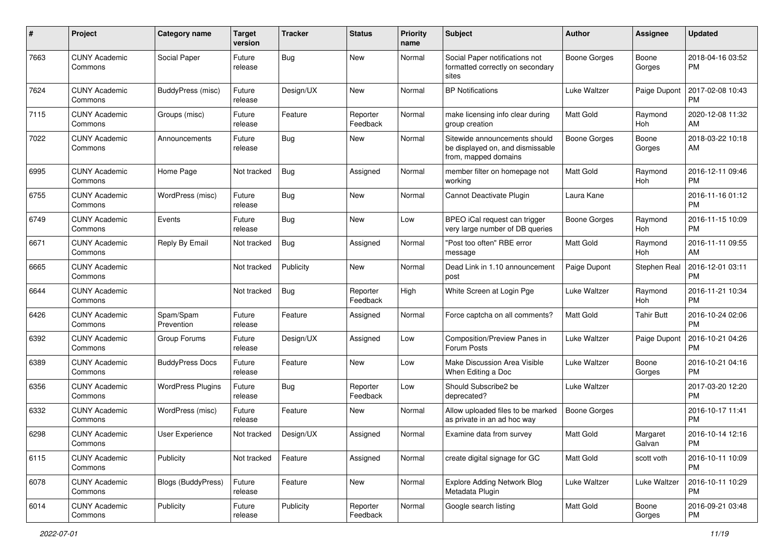| #    | Project                         | <b>Category name</b>     | <b>Target</b><br>version | <b>Tracker</b> | <b>Status</b>        | <b>Priority</b><br>name | Subject                                                                                   | Author              | <b>Assignee</b>    | <b>Updated</b>                |
|------|---------------------------------|--------------------------|--------------------------|----------------|----------------------|-------------------------|-------------------------------------------------------------------------------------------|---------------------|--------------------|-------------------------------|
| 7663 | <b>CUNY Academic</b><br>Commons | Social Paper             | Future<br>release        | Bug            | <b>New</b>           | Normal                  | Social Paper notifications not<br>formatted correctly on secondary<br>sites               | <b>Boone Gorges</b> | Boone<br>Gorges    | 2018-04-16 03:52<br><b>PM</b> |
| 7624 | <b>CUNY Academic</b><br>Commons | BuddyPress (misc)        | Future<br>release        | Design/UX      | <b>New</b>           | Normal                  | <b>BP</b> Notifications                                                                   | Luke Waltzer        | Paige Dupont       | 2017-02-08 10:43<br><b>PM</b> |
| 7115 | <b>CUNY Academic</b><br>Commons | Groups (misc)            | Future<br>release        | Feature        | Reporter<br>Feedback | Normal                  | make licensing info clear during<br>group creation                                        | <b>Matt Gold</b>    | Raymond<br>Hoh     | 2020-12-08 11:32<br>AM        |
| 7022 | <b>CUNY Academic</b><br>Commons | Announcements            | Future<br>release        | Bug            | New                  | Normal                  | Sitewide announcements should<br>be displayed on, and dismissable<br>from, mapped domains | <b>Boone Gorges</b> | Boone<br>Gorges    | 2018-03-22 10:18<br>AM        |
| 6995 | <b>CUNY Academic</b><br>Commons | Home Page                | Not tracked              | Bug            | Assigned             | Normal                  | member filter on homepage not<br>working                                                  | Matt Gold           | Raymond<br>Hoh     | 2016-12-11 09:46<br><b>PM</b> |
| 6755 | <b>CUNY Academic</b><br>Commons | WordPress (misc)         | Future<br>release        | Bug            | New                  | Normal                  | Cannot Deactivate Plugin                                                                  | Laura Kane          |                    | 2016-11-16 01:12<br><b>PM</b> |
| 6749 | <b>CUNY Academic</b><br>Commons | Events                   | Future<br>release        | <b>Bug</b>     | <b>New</b>           | Low                     | BPEO iCal request can trigger<br>very large number of DB queries                          | Boone Gorges        | Raymond<br>Hoh     | 2016-11-15 10:09<br><b>PM</b> |
| 6671 | <b>CUNY Academic</b><br>Commons | Reply By Email           | Not tracked              | Bug            | Assigned             | Normal                  | "Post too often" RBE error<br>message                                                     | Matt Gold           | Raymond<br>Hoh     | 2016-11-11 09:55<br>AM        |
| 6665 | <b>CUNY Academic</b><br>Commons |                          | Not tracked              | Publicity      | New                  | Normal                  | Dead Link in 1.10 announcement<br>post                                                    | Paige Dupont        | Stephen Real       | 2016-12-01 03:11<br><b>PM</b> |
| 6644 | <b>CUNY Academic</b><br>Commons |                          | Not tracked              | Bug            | Reporter<br>Feedback | High                    | White Screen at Login Pge                                                                 | Luke Waltzer        | Raymond<br>Hoh     | 2016-11-21 10:34<br><b>PM</b> |
| 6426 | <b>CUNY Academic</b><br>Commons | Spam/Spam<br>Prevention  | Future<br>release        | Feature        | Assigned             | Normal                  | Force captcha on all comments?                                                            | <b>Matt Gold</b>    | <b>Tahir Butt</b>  | 2016-10-24 02:06<br><b>PM</b> |
| 6392 | <b>CUNY Academic</b><br>Commons | Group Forums             | Future<br>release        | Design/UX      | Assigned             | Low                     | Composition/Preview Panes in<br>Forum Posts                                               | Luke Waltzer        | Paige Dupont       | 2016-10-21 04:26<br><b>PM</b> |
| 6389 | <b>CUNY Academic</b><br>Commons | <b>BuddyPress Docs</b>   | Future<br>release        | Feature        | <b>New</b>           | Low                     | Make Discussion Area Visible<br>When Editing a Doc                                        | Luke Waltzer        | Boone<br>Gorges    | 2016-10-21 04:16<br><b>PM</b> |
| 6356 | <b>CUNY Academic</b><br>Commons | <b>WordPress Plugins</b> | Future<br>release        | Bug            | Reporter<br>Feedback | Low                     | Should Subscribe2 be<br>deprecated?                                                       | Luke Waltzer        |                    | 2017-03-20 12:20<br><b>PM</b> |
| 6332 | <b>CUNY Academic</b><br>Commons | WordPress (misc)         | Future<br>release        | Feature        | New                  | Normal                  | Allow uploaded files to be marked<br>as private in an ad hoc way                          | <b>Boone Gorges</b> |                    | 2016-10-17 11:41<br><b>PM</b> |
| 6298 | <b>CUNY Academic</b><br>Commons | <b>User Experience</b>   | Not tracked              | Design/UX      | Assigned             | Normal                  | Examine data from survey                                                                  | <b>Matt Gold</b>    | Margaret<br>Galvan | 2016-10-14 12:16<br>PM        |
| 6115 | <b>CUNY Academic</b><br>Commons | Publicity                | Not tracked              | Feature        | Assigned             | Normal                  | create digital signage for GC                                                             | <b>Matt Gold</b>    | scott voth         | 2016-10-11 10:09<br><b>PM</b> |
| 6078 | <b>CUNY Academic</b><br>Commons | Blogs (BuddyPress)       | Future<br>release        | Feature        | New                  | Normal                  | <b>Explore Adding Network Blog</b><br>Metadata Plugin                                     | Luke Waltzer        | Luke Waltzer       | 2016-10-11 10:29<br><b>PM</b> |
| 6014 | <b>CUNY Academic</b><br>Commons | Publicity                | Future<br>release        | Publicity      | Reporter<br>Feedback | Normal                  | Google search listing                                                                     | Matt Gold           | Boone<br>Gorges    | 2016-09-21 03:48<br><b>PM</b> |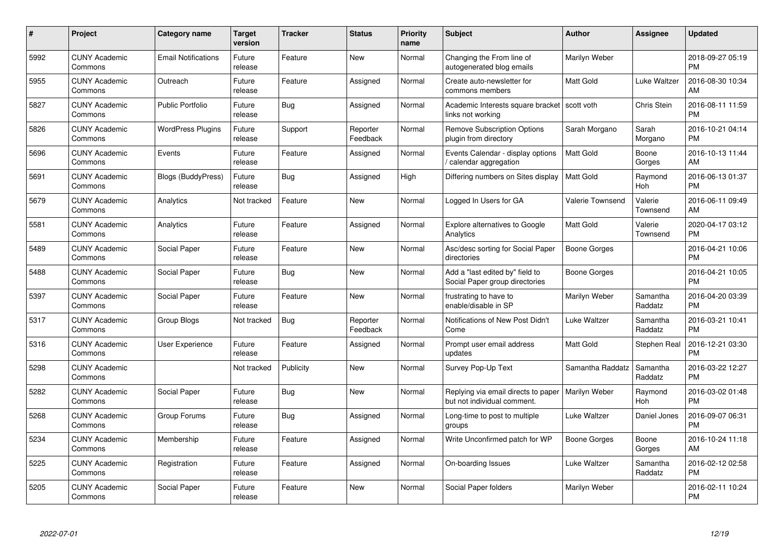| #    | Project                         | <b>Category name</b>       | Target<br>version | <b>Tracker</b> | <b>Status</b>        | Priority<br>name | <b>Subject</b>                                                     | <b>Author</b>    | <b>Assignee</b>     | <b>Updated</b>                |
|------|---------------------------------|----------------------------|-------------------|----------------|----------------------|------------------|--------------------------------------------------------------------|------------------|---------------------|-------------------------------|
| 5992 | <b>CUNY Academic</b><br>Commons | <b>Email Notifications</b> | Future<br>release | Feature        | <b>New</b>           | Normal           | Changing the From line of<br>autogenerated blog emails             | Marilyn Weber    |                     | 2018-09-27 05:19<br><b>PM</b> |
| 5955 | <b>CUNY Academic</b><br>Commons | Outreach                   | Future<br>release | Feature        | Assigned             | Normal           | Create auto-newsletter for<br>commons members                      | <b>Matt Gold</b> | Luke Waltzer        | 2016-08-30 10:34<br>AM        |
| 5827 | <b>CUNY Academic</b><br>Commons | <b>Public Portfolio</b>    | Future<br>release | Bug            | Assigned             | Normal           | Academic Interests square bracket<br>links not working             | scott voth       | Chris Stein         | 2016-08-11 11:59<br><b>PM</b> |
| 5826 | <b>CUNY Academic</b><br>Commons | <b>WordPress Plugins</b>   | Future<br>release | Support        | Reporter<br>Feedback | Normal           | <b>Remove Subscription Options</b><br>plugin from directory        | Sarah Morgano    | Sarah<br>Morgano    | 2016-10-21 04:14<br><b>PM</b> |
| 5696 | <b>CUNY Academic</b><br>Commons | Events                     | Future<br>release | Feature        | Assigned             | Normal           | Events Calendar - display options<br>/ calendar aggregation        | <b>Matt Gold</b> | Boone<br>Gorges     | 2016-10-13 11:44<br>AM        |
| 5691 | <b>CUNY Academic</b><br>Commons | <b>Blogs (BuddyPress)</b>  | Future<br>release | Bug            | Assigned             | High             | Differing numbers on Sites display                                 | <b>Matt Gold</b> | Raymond<br>Hoh      | 2016-06-13 01:37<br><b>PM</b> |
| 5679 | <b>CUNY Academic</b><br>Commons | Analytics                  | Not tracked       | Feature        | <b>New</b>           | Normal           | Logged In Users for GA                                             | Valerie Townsend | Valerie<br>Townsend | 2016-06-11 09:49<br>AM        |
| 5581 | <b>CUNY Academic</b><br>Commons | Analytics                  | Future<br>release | Feature        | Assigned             | Normal           | <b>Explore alternatives to Google</b><br>Analytics                 | Matt Gold        | Valerie<br>Townsend | 2020-04-17 03:12<br><b>PM</b> |
| 5489 | <b>CUNY Academic</b><br>Commons | Social Paper               | Future<br>release | Feature        | New                  | Normal           | Asc/desc sorting for Social Paper<br>directories                   | Boone Gorges     |                     | 2016-04-21 10:06<br><b>PM</b> |
| 5488 | <b>CUNY Academic</b><br>Commons | Social Paper               | Future<br>release | <b>Bug</b>     | <b>New</b>           | Normal           | Add a "last edited by" field to<br>Social Paper group directories  | Boone Gorges     |                     | 2016-04-21 10:05<br>PM        |
| 5397 | <b>CUNY Academic</b><br>Commons | Social Paper               | Future<br>release | Feature        | New                  | Normal           | frustrating to have to<br>enable/disable in SP                     | Marilyn Weber    | Samantha<br>Raddatz | 2016-04-20 03:39<br><b>PM</b> |
| 5317 | <b>CUNY Academic</b><br>Commons | Group Blogs                | Not tracked       | <b>Bug</b>     | Reporter<br>Feedback | Normal           | Notifications of New Post Didn't<br>Come                           | Luke Waltzer     | Samantha<br>Raddatz | 2016-03-21 10:41<br><b>PM</b> |
| 5316 | <b>CUNY Academic</b><br>Commons | User Experience            | Future<br>release | Feature        | Assigned             | Normal           | Prompt user email address<br>updates                               | Matt Gold        | Stephen Real        | 2016-12-21 03:30<br><b>PM</b> |
| 5298 | <b>CUNY Academic</b><br>Commons |                            | Not tracked       | Publicity      | New                  | Normal           | Survey Pop-Up Text                                                 | Samantha Raddatz | Samantha<br>Raddatz | 2016-03-22 12:27<br><b>PM</b> |
| 5282 | <b>CUNY Academic</b><br>Commons | Social Paper               | Future<br>release | <b>Bug</b>     | New                  | Normal           | Replying via email directs to paper<br>but not individual comment. | Marilyn Weber    | Raymond<br>Hoh      | 2016-03-02 01:48<br><b>PM</b> |
| 5268 | <b>CUNY Academic</b><br>Commons | Group Forums               | Future<br>release | Bug            | Assigned             | Normal           | Long-time to post to multiple<br>groups                            | Luke Waltzer     | Daniel Jones        | 2016-09-07 06:31<br><b>PM</b> |
| 5234 | <b>CUNY Academic</b><br>Commons | Membership                 | Future<br>release | Feature        | Assigned             | Normal           | Write Unconfirmed patch for WP                                     | Boone Gorges     | Boone<br>Gorges     | 2016-10-24 11:18<br>AM        |
| 5225 | <b>CUNY Academic</b><br>Commons | Registration               | Future<br>release | Feature        | Assigned             | Normal           | On-boarding Issues                                                 | Luke Waltzer     | Samantha<br>Raddatz | 2016-02-12 02:58<br><b>PM</b> |
| 5205 | <b>CUNY Academic</b><br>Commons | Social Paper               | Future<br>release | Feature        | <b>New</b>           | Normal           | Social Paper folders                                               | Marilyn Weber    |                     | 2016-02-11 10:24<br>PM        |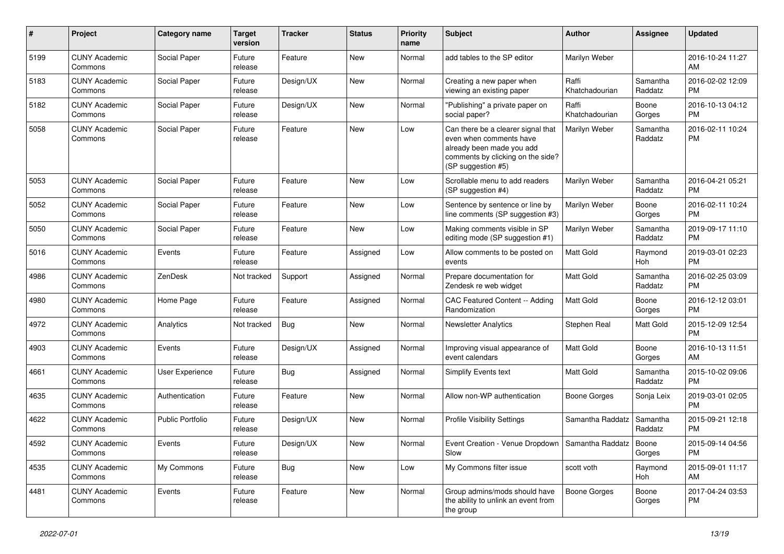| #    | Project                         | <b>Category name</b>    | <b>Target</b><br>version | <b>Tracker</b> | <b>Status</b> | <b>Priority</b><br>name | <b>Subject</b>                                                                                                                                        | Author                  | Assignee            | <b>Updated</b>                |
|------|---------------------------------|-------------------------|--------------------------|----------------|---------------|-------------------------|-------------------------------------------------------------------------------------------------------------------------------------------------------|-------------------------|---------------------|-------------------------------|
| 5199 | <b>CUNY Academic</b><br>Commons | Social Paper            | Future<br>release        | Feature        | <b>New</b>    | Normal                  | add tables to the SP editor                                                                                                                           | Marilyn Weber           |                     | 2016-10-24 11:27<br>AM        |
| 5183 | <b>CUNY Academic</b><br>Commons | Social Paper            | Future<br>release        | Design/UX      | New           | Normal                  | Creating a new paper when<br>viewing an existing paper                                                                                                | Raffi<br>Khatchadourian | Samantha<br>Raddatz | 2016-02-02 12:09<br><b>PM</b> |
| 5182 | <b>CUNY Academic</b><br>Commons | Social Paper            | Future<br>release        | Design/UX      | <b>New</b>    | Normal                  | "Publishing" a private paper on<br>social paper?                                                                                                      | Raffi<br>Khatchadourian | Boone<br>Gorges     | 2016-10-13 04:12<br><b>PM</b> |
| 5058 | <b>CUNY Academic</b><br>Commons | Social Paper            | Future<br>release        | Feature        | <b>New</b>    | Low                     | Can there be a clearer signal that<br>even when comments have<br>already been made you add<br>comments by clicking on the side?<br>(SP suggestion #5) | Marilyn Weber           | Samantha<br>Raddatz | 2016-02-11 10:24<br><b>PM</b> |
| 5053 | <b>CUNY Academic</b><br>Commons | Social Paper            | Future<br>release        | Feature        | New           | Low                     | Scrollable menu to add readers<br>(SP suggestion #4)                                                                                                  | Marilyn Weber           | Samantha<br>Raddatz | 2016-04-21 05:21<br><b>PM</b> |
| 5052 | <b>CUNY Academic</b><br>Commons | Social Paper            | Future<br>release        | Feature        | New           | Low                     | Sentence by sentence or line by<br>line comments (SP suggestion #3)                                                                                   | Marilyn Weber           | Boone<br>Gorges     | 2016-02-11 10:24<br><b>PM</b> |
| 5050 | <b>CUNY Academic</b><br>Commons | Social Paper            | Future<br>release        | Feature        | <b>New</b>    | Low                     | Making comments visible in SP<br>editing mode (SP suggestion #1)                                                                                      | Marilyn Weber           | Samantha<br>Raddatz | 2019-09-17 11:10<br><b>PM</b> |
| 5016 | <b>CUNY Academic</b><br>Commons | Events                  | Future<br>release        | Feature        | Assigned      | Low                     | Allow comments to be posted on<br>events                                                                                                              | <b>Matt Gold</b>        | Raymond<br>Hoh      | 2019-03-01 02:23<br><b>PM</b> |
| 4986 | <b>CUNY Academic</b><br>Commons | ZenDesk                 | Not tracked              | Support        | Assigned      | Normal                  | Prepare documentation for<br>Zendesk re web widget                                                                                                    | Matt Gold               | Samantha<br>Raddatz | 2016-02-25 03:09<br><b>PM</b> |
| 4980 | <b>CUNY Academic</b><br>Commons | Home Page               | Future<br>release        | Feature        | Assigned      | Normal                  | CAC Featured Content -- Adding<br>Randomization                                                                                                       | <b>Matt Gold</b>        | Boone<br>Gorges     | 2016-12-12 03:01<br><b>PM</b> |
| 4972 | <b>CUNY Academic</b><br>Commons | Analytics               | Not tracked              | Bug            | <b>New</b>    | Normal                  | <b>Newsletter Analytics</b>                                                                                                                           | Stephen Real            | Matt Gold           | 2015-12-09 12:54<br><b>PM</b> |
| 4903 | <b>CUNY Academic</b><br>Commons | Events                  | Future<br>release        | Design/UX      | Assigned      | Normal                  | Improving visual appearance of<br>event calendars                                                                                                     | <b>Matt Gold</b>        | Boone<br>Gorges     | 2016-10-13 11:51<br>AM        |
| 4661 | <b>CUNY Academic</b><br>Commons | User Experience         | Future<br>release        | Bug            | Assigned      | Normal                  | Simplify Events text                                                                                                                                  | <b>Matt Gold</b>        | Samantha<br>Raddatz | 2015-10-02 09:06<br><b>PM</b> |
| 4635 | <b>CUNY Academic</b><br>Commons | Authentication          | Future<br>release        | Feature        | <b>New</b>    | Normal                  | Allow non-WP authentication                                                                                                                           | Boone Gorges            | Sonja Leix          | 2019-03-01 02:05<br><b>PM</b> |
| 4622 | <b>CUNY Academic</b><br>Commons | <b>Public Portfolio</b> | Future<br>release        | Design/UX      | <b>New</b>    | Normal                  | <b>Profile Visibility Settings</b>                                                                                                                    | Samantha Raddatz        | Samantha<br>Raddatz | 2015-09-21 12:18<br><b>PM</b> |
| 4592 | <b>CUNY Academic</b><br>Commons | Events                  | Future<br>release        | Design/UX      | New           | Normal                  | Event Creation - Venue Dropdown   Samantha Raddatz   Boone<br>Slow                                                                                    |                         | Gorges              | 2015-09-14 04:56<br>PM.       |
| 4535 | <b>CUNY Academic</b><br>Commons | My Commons              | Future<br>release        | Bug            | New           | Low                     | My Commons filter issue                                                                                                                               | scott voth              | Raymond<br>Hoh      | 2015-09-01 11:17<br>AM        |
| 4481 | <b>CUNY Academic</b><br>Commons | Events                  | Future<br>release        | Feature        | New           | Normal                  | Group admins/mods should have<br>the ability to unlink an event from<br>the group                                                                     | Boone Gorges            | Boone<br>Gorges     | 2017-04-24 03:53<br><b>PM</b> |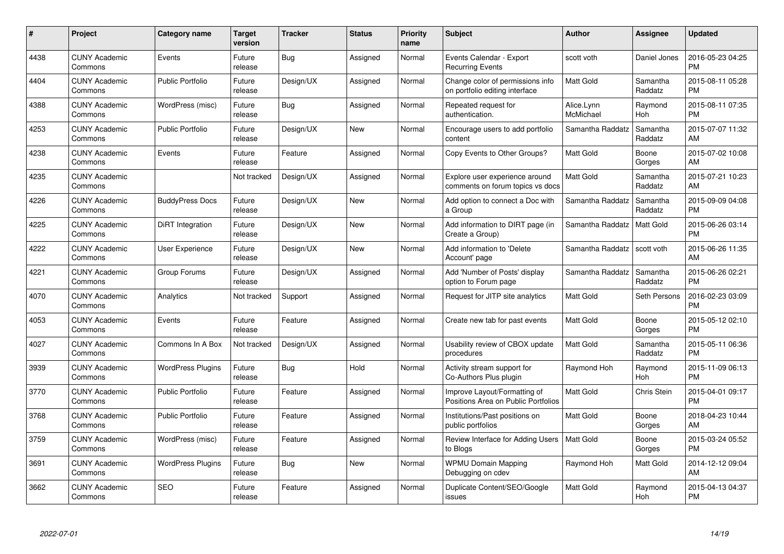| #    | Project                         | <b>Category name</b>     | <b>Target</b><br>version | <b>Tracker</b> | <b>Status</b> | <b>Priority</b><br>name | <b>Subject</b>                                                      | <b>Author</b>           | Assignee            | <b>Updated</b>                |
|------|---------------------------------|--------------------------|--------------------------|----------------|---------------|-------------------------|---------------------------------------------------------------------|-------------------------|---------------------|-------------------------------|
| 4438 | <b>CUNY Academic</b><br>Commons | Events                   | Future<br>release        | Bug            | Assigned      | Normal                  | Events Calendar - Export<br><b>Recurring Events</b>                 | scott voth              | Daniel Jones        | 2016-05-23 04:25<br><b>PM</b> |
| 4404 | <b>CUNY Academic</b><br>Commons | <b>Public Portfolio</b>  | Future<br>release        | Design/UX      | Assigned      | Normal                  | Change color of permissions info<br>on portfolio editing interface  | <b>Matt Gold</b>        | Samantha<br>Raddatz | 2015-08-11 05:28<br><b>PM</b> |
| 4388 | <b>CUNY Academic</b><br>Commons | WordPress (misc)         | Future<br>release        | Bug            | Assigned      | Normal                  | Repeated request for<br>authentication.                             | Alice.Lynn<br>McMichael | Raymond<br>Hoh      | 2015-08-11 07:35<br><b>PM</b> |
| 4253 | <b>CUNY Academic</b><br>Commons | <b>Public Portfolio</b>  | Future<br>release        | Design/UX      | New           | Normal                  | Encourage users to add portfolio<br>content                         | Samantha Raddatz        | Samantha<br>Raddatz | 2015-07-07 11:32<br>AM        |
| 4238 | <b>CUNY Academic</b><br>Commons | Events                   | Future<br>release        | Feature        | Assigned      | Normal                  | Copy Events to Other Groups?                                        | <b>Matt Gold</b>        | Boone<br>Gorges     | 2015-07-02 10:08<br>AM        |
| 4235 | <b>CUNY Academic</b><br>Commons |                          | Not tracked              | Design/UX      | Assigned      | Normal                  | Explore user experience around<br>comments on forum topics vs docs  | Matt Gold               | Samantha<br>Raddatz | 2015-07-21 10:23<br>AM        |
| 4226 | <b>CUNY Academic</b><br>Commons | <b>BuddyPress Docs</b>   | Future<br>release        | Design/UX      | <b>New</b>    | Normal                  | Add option to connect a Doc with<br>a Group                         | Samantha Raddatz        | Samantha<br>Raddatz | 2015-09-09 04:08<br><b>PM</b> |
| 4225 | <b>CUNY Academic</b><br>Commons | DiRT Integration         | Future<br>release        | Design/UX      | <b>New</b>    | Normal                  | Add information to DIRT page (in<br>Create a Group)                 | Samantha Raddatz        | Matt Gold           | 2015-06-26 03:14<br><b>PM</b> |
| 4222 | <b>CUNY Academic</b><br>Commons | <b>User Experience</b>   | Future<br>release        | Design/UX      | <b>New</b>    | Normal                  | Add information to 'Delete<br>Account' page                         | Samantha Raddatz        | scott voth          | 2015-06-26 11:35<br>AM        |
| 4221 | <b>CUNY Academic</b><br>Commons | Group Forums             | Future<br>release        | Design/UX      | Assigned      | Normal                  | Add 'Number of Posts' display<br>option to Forum page               | Samantha Raddatz        | Samantha<br>Raddatz | 2015-06-26 02:21<br><b>PM</b> |
| 4070 | <b>CUNY Academic</b><br>Commons | Analytics                | Not tracked              | Support        | Assigned      | Normal                  | Request for JITP site analytics                                     | Matt Gold               | Seth Persons        | 2016-02-23 03:09<br><b>PM</b> |
| 4053 | <b>CUNY Academic</b><br>Commons | Events                   | Future<br>release        | Feature        | Assigned      | Normal                  | Create new tab for past events                                      | <b>Matt Gold</b>        | Boone<br>Gorges     | 2015-05-12 02:10<br><b>PM</b> |
| 4027 | <b>CUNY Academic</b><br>Commons | Commons In A Box         | Not tracked              | Design/UX      | Assigned      | Normal                  | Usability review of CBOX update<br>procedures                       | <b>Matt Gold</b>        | Samantha<br>Raddatz | 2015-05-11 06:36<br><b>PM</b> |
| 3939 | <b>CUNY Academic</b><br>Commons | <b>WordPress Plugins</b> | Future<br>release        | Bug            | Hold          | Normal                  | Activity stream support for<br>Co-Authors Plus plugin               | Raymond Hoh             | Raymond<br>Hoh      | 2015-11-09 06:13<br><b>PM</b> |
| 3770 | <b>CUNY Academic</b><br>Commons | Public Portfolio         | Future<br>release        | Feature        | Assigned      | Normal                  | Improve Layout/Formatting of<br>Positions Area on Public Portfolios | Matt Gold               | Chris Stein         | 2015-04-01 09:17<br><b>PM</b> |
| 3768 | <b>CUNY Academic</b><br>Commons | <b>Public Portfolio</b>  | Future<br>release        | Feature        | Assigned      | Normal                  | Institutions/Past positions on<br>public portfolios                 | Matt Gold               | Boone<br>Gorges     | 2018-04-23 10:44<br>AM        |
| 3759 | <b>CUNY Academic</b><br>Commons | WordPress (misc)         | Future<br>release        | Feature        | Assigned      | Normal                  | Review Interface for Adding Users<br>to Blogs                       | Matt Gold               | Boone<br>Gorges     | 2015-03-24 05:52<br><b>PM</b> |
| 3691 | <b>CUNY Academic</b><br>Commons | <b>WordPress Plugins</b> | Future<br>release        | Bug            | New           | Normal                  | <b>WPMU Domain Mapping</b><br>Debugging on cdev                     | Raymond Hoh             | Matt Gold           | 2014-12-12 09:04<br>AM        |
| 3662 | <b>CUNY Academic</b><br>Commons | <b>SEO</b>               | Future<br>release        | Feature        | Assigned      | Normal                  | Duplicate Content/SEO/Google<br>issues                              | <b>Matt Gold</b>        | Raymond<br>Hoh      | 2015-04-13 04:37<br><b>PM</b> |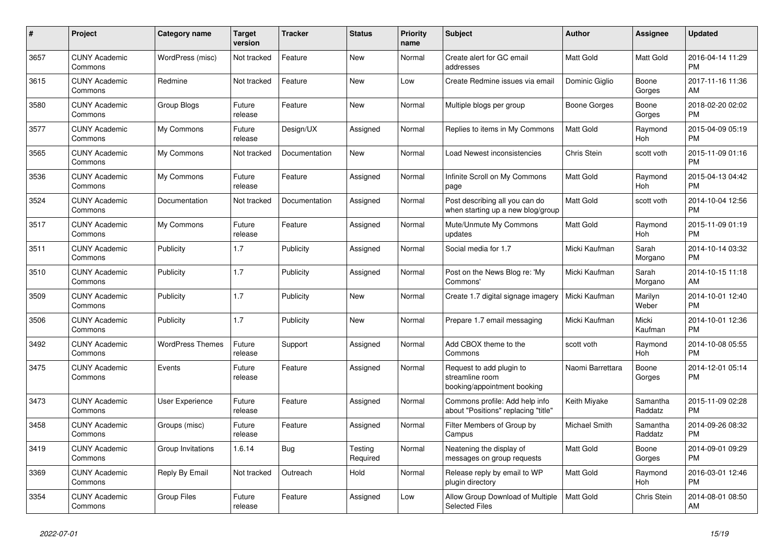| #    | Project                         | <b>Category name</b>    | <b>Target</b><br>version | <b>Tracker</b> | <b>Status</b>       | <b>Priority</b><br>name | <b>Subject</b>                                                             | <b>Author</b>    | <b>Assignee</b>     | <b>Updated</b>                |
|------|---------------------------------|-------------------------|--------------------------|----------------|---------------------|-------------------------|----------------------------------------------------------------------------|------------------|---------------------|-------------------------------|
| 3657 | <b>CUNY Academic</b><br>Commons | WordPress (misc)        | Not tracked              | Feature        | New                 | Normal                  | Create alert for GC email<br>addresses                                     | Matt Gold        | <b>Matt Gold</b>    | 2016-04-14 11:29<br><b>PM</b> |
| 3615 | <b>CUNY Academic</b><br>Commons | Redmine                 | Not tracked              | Feature        | New                 | Low                     | Create Redmine issues via email                                            | Dominic Giglio   | Boone<br>Gorges     | 2017-11-16 11:36<br>AM        |
| 3580 | <b>CUNY Academic</b><br>Commons | Group Blogs             | Future<br>release        | Feature        | <b>New</b>          | Normal                  | Multiple blogs per group                                                   | Boone Gorges     | Boone<br>Gorges     | 2018-02-20 02:02<br><b>PM</b> |
| 3577 | <b>CUNY Academic</b><br>Commons | My Commons              | Future<br>release        | Design/UX      | Assigned            | Normal                  | Replies to items in My Commons                                             | Matt Gold        | Raymond<br>Hoh      | 2015-04-09 05:19<br><b>PM</b> |
| 3565 | <b>CUNY Academic</b><br>Commons | My Commons              | Not tracked              | Documentation  | New                 | Normal                  | Load Newest inconsistencies                                                | Chris Stein      | scott voth          | 2015-11-09 01:16<br><b>PM</b> |
| 3536 | <b>CUNY Academic</b><br>Commons | My Commons              | Future<br>release        | Feature        | Assigned            | Normal                  | Infinite Scroll on My Commons<br>page                                      | Matt Gold        | Raymond<br>Hoh      | 2015-04-13 04:42<br><b>PM</b> |
| 3524 | <b>CUNY Academic</b><br>Commons | Documentation           | Not tracked              | Documentation  | Assigned            | Normal                  | Post describing all you can do<br>when starting up a new blog/group        | Matt Gold        | scott voth          | 2014-10-04 12:56<br><b>PM</b> |
| 3517 | <b>CUNY Academic</b><br>Commons | My Commons              | Future<br>release        | Feature        | Assigned            | Normal                  | Mute/Unmute My Commons<br>updates                                          | Matt Gold        | Raymond<br>Hoh      | 2015-11-09 01:19<br><b>PM</b> |
| 3511 | <b>CUNY Academic</b><br>Commons | Publicity               | 1.7                      | Publicity      | Assigned            | Normal                  | Social media for 1.7                                                       | Micki Kaufman    | Sarah<br>Morgano    | 2014-10-14 03:32<br><b>PM</b> |
| 3510 | <b>CUNY Academic</b><br>Commons | Publicity               | 1.7                      | Publicity      | Assigned            | Normal                  | Post on the News Blog re: 'My<br>Commons'                                  | Micki Kaufman    | Sarah<br>Morgano    | 2014-10-15 11:18<br>AM        |
| 3509 | <b>CUNY Academic</b><br>Commons | Publicity               | 1.7                      | Publicity      | New                 | Normal                  | Create 1.7 digital signage imagery                                         | Micki Kaufman    | Marilyn<br>Weber    | 2014-10-01 12:40<br><b>PM</b> |
| 3506 | <b>CUNY Academic</b><br>Commons | Publicity               | 1.7                      | Publicity      | New                 | Normal                  | Prepare 1.7 email messaging                                                | Micki Kaufman    | Micki<br>Kaufman    | 2014-10-01 12:36<br><b>PM</b> |
| 3492 | <b>CUNY Academic</b><br>Commons | <b>WordPress Themes</b> | Future<br>release        | Support        | Assigned            | Normal                  | Add CBOX theme to the<br>Commons                                           | scott voth       | Raymond<br>Hoh      | 2014-10-08 05:55<br><b>PM</b> |
| 3475 | <b>CUNY Academic</b><br>Commons | Events                  | Future<br>release        | Feature        | Assigned            | Normal                  | Request to add plugin to<br>streamline room<br>booking/appointment booking | Naomi Barrettara | Boone<br>Gorges     | 2014-12-01 05:14<br><b>PM</b> |
| 3473 | <b>CUNY Academic</b><br>Commons | User Experience         | Future<br>release        | Feature        | Assigned            | Normal                  | Commons profile: Add help info<br>about "Positions" replacing "title"      | Keith Miyake     | Samantha<br>Raddatz | 2015-11-09 02:28<br><b>PM</b> |
| 3458 | <b>CUNY Academic</b><br>Commons | Groups (misc)           | Future<br>release        | Feature        | Assigned            | Normal                  | Filter Members of Group by<br>Campus                                       | Michael Smith    | Samantha<br>Raddatz | 2014-09-26 08:32<br><b>PM</b> |
| 3419 | <b>CUNY Academic</b><br>Commons | Group Invitations       | 1.6.14                   | Bug            | Testing<br>Required | Normal                  | Neatening the display of<br>messages on group requests                     | <b>Matt Gold</b> | Boone<br>Gorges     | 2014-09-01 09:29<br><b>PM</b> |
| 3369 | <b>CUNY Academic</b><br>Commons | Reply By Email          | Not tracked              | Outreach       | Hold                | Normal                  | Release reply by email to WP<br>plugin directory                           | Matt Gold        | Raymond<br>Hoh      | 2016-03-01 12:46<br><b>PM</b> |
| 3354 | <b>CUNY Academic</b><br>Commons | <b>Group Files</b>      | Future<br>release        | Feature        | Assigned            | Low                     | Allow Group Download of Multiple<br><b>Selected Files</b>                  | <b>Matt Gold</b> | Chris Stein         | 2014-08-01 08:50<br>AM        |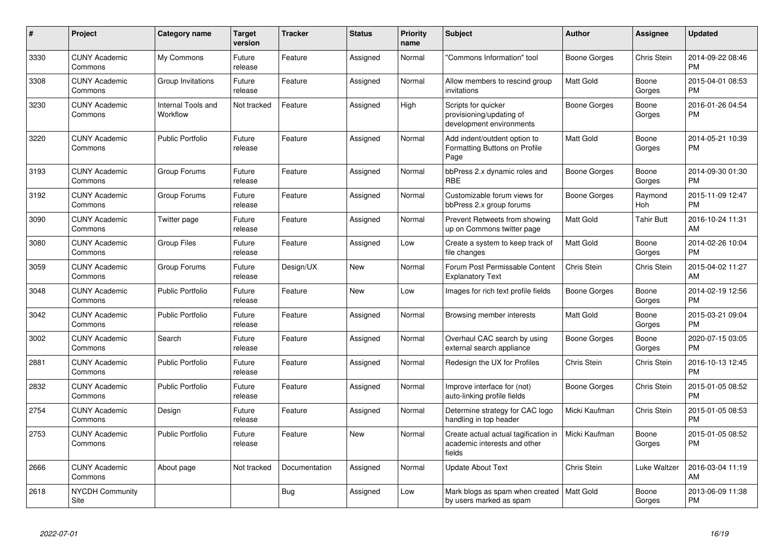| #    | Project                         | <b>Category name</b>           | <b>Target</b><br>version | <b>Tracker</b> | <b>Status</b> | <b>Priority</b><br>name | <b>Subject</b>                                                                 | <b>Author</b>       | <b>Assignee</b>   | <b>Updated</b>                |
|------|---------------------------------|--------------------------------|--------------------------|----------------|---------------|-------------------------|--------------------------------------------------------------------------------|---------------------|-------------------|-------------------------------|
| 3330 | <b>CUNY Academic</b><br>Commons | My Commons                     | Future<br>release        | Feature        | Assigned      | Normal                  | "Commons Information" tool                                                     | Boone Gorges        | Chris Stein       | 2014-09-22 08:46<br><b>PM</b> |
| 3308 | <b>CUNY Academic</b><br>Commons | Group Invitations              | Future<br>release        | Feature        | Assigned      | Normal                  | Allow members to rescind group<br>invitations                                  | Matt Gold           | Boone<br>Gorges   | 2015-04-01 08:53<br><b>PM</b> |
| 3230 | <b>CUNY Academic</b><br>Commons | Internal Tools and<br>Workflow | Not tracked              | Feature        | Assigned      | High                    | Scripts for quicker<br>provisioning/updating of<br>development environments    | Boone Gorges        | Boone<br>Gorges   | 2016-01-26 04:54<br><b>PM</b> |
| 3220 | <b>CUNY Academic</b><br>Commons | Public Portfolio               | Future<br>release        | Feature        | Assigned      | Normal                  | Add indent/outdent option to<br>Formatting Buttons on Profile<br>Page          | Matt Gold           | Boone<br>Gorges   | 2014-05-21 10:39<br><b>PM</b> |
| 3193 | <b>CUNY Academic</b><br>Commons | Group Forums                   | Future<br>release        | Feature        | Assigned      | Normal                  | bbPress 2.x dynamic roles and<br><b>RBE</b>                                    | <b>Boone Gorges</b> | Boone<br>Gorges   | 2014-09-30 01:30<br><b>PM</b> |
| 3192 | <b>CUNY Academic</b><br>Commons | Group Forums                   | Future<br>release        | Feature        | Assigned      | Normal                  | Customizable forum views for<br>bbPress 2.x group forums                       | Boone Gorges        | Raymond<br>Hoh    | 2015-11-09 12:47<br><b>PM</b> |
| 3090 | <b>CUNY Academic</b><br>Commons | Twitter page                   | Future<br>release        | Feature        | Assigned      | Normal                  | Prevent Retweets from showing<br>up on Commons twitter page                    | Matt Gold           | <b>Tahir Butt</b> | 2016-10-24 11:31<br>AM        |
| 3080 | <b>CUNY Academic</b><br>Commons | <b>Group Files</b>             | Future<br>release        | Feature        | Assigned      | Low                     | Create a system to keep track of<br>file changes                               | Matt Gold           | Boone<br>Gorges   | 2014-02-26 10:04<br>PM        |
| 3059 | <b>CUNY Academic</b><br>Commons | Group Forums                   | Future<br>release        | Design/UX      | New           | Normal                  | Forum Post Permissable Content<br><b>Explanatory Text</b>                      | Chris Stein         | Chris Stein       | 2015-04-02 11:27<br>AM        |
| 3048 | <b>CUNY Academic</b><br>Commons | Public Portfolio               | Future<br>release        | Feature        | <b>New</b>    | Low                     | Images for rich text profile fields                                            | Boone Gorges        | Boone<br>Gorges   | 2014-02-19 12:56<br>PM        |
| 3042 | <b>CUNY Academic</b><br>Commons | <b>Public Portfolio</b>        | Future<br>release        | Feature        | Assigned      | Normal                  | Browsing member interests                                                      | Matt Gold           | Boone<br>Gorges   | 2015-03-21 09:04<br><b>PM</b> |
| 3002 | <b>CUNY Academic</b><br>Commons | Search                         | Future<br>release        | Feature        | Assigned      | Normal                  | Overhaul CAC search by using<br>external search appliance                      | <b>Boone Gorges</b> | Boone<br>Gorges   | 2020-07-15 03:05<br><b>PM</b> |
| 2881 | <b>CUNY Academic</b><br>Commons | <b>Public Portfolio</b>        | Future<br>release        | Feature        | Assigned      | Normal                  | Redesign the UX for Profiles                                                   | Chris Stein         | Chris Stein       | 2016-10-13 12:45<br><b>PM</b> |
| 2832 | <b>CUNY Academic</b><br>Commons | <b>Public Portfolio</b>        | Future<br>release        | Feature        | Assigned      | Normal                  | Improve interface for (not)<br>auto-linking profile fields                     | Boone Gorges        | Chris Stein       | 2015-01-05 08:52<br><b>PM</b> |
| 2754 | <b>CUNY Academic</b><br>Commons | Design                         | Future<br>release        | Feature        | Assigned      | Normal                  | Determine strategy for CAC logo<br>handling in top header                      | Micki Kaufman       | Chris Stein       | 2015-01-05 08:53<br>PM        |
| 2753 | <b>CUNY Academic</b><br>Commons | <b>Public Portfolio</b>        | Future<br>release        | Feature        | New           | Normal                  | Create actual actual tagification in<br>academic interests and other<br>fields | Micki Kaufman       | Boone<br>Gorges   | 2015-01-05 08:52<br><b>PM</b> |
| 2666 | <b>CUNY Academic</b><br>Commons | About page                     | Not tracked              | Documentation  | Assigned      | Normal                  | <b>Update About Text</b>                                                       | Chris Stein         | Luke Waltzer      | 2016-03-04 11:19<br>AM        |
| 2618 | <b>NYCDH Community</b><br>Site  |                                |                          | <b>Bug</b>     | Assigned      | Low                     | Mark blogs as spam when created<br>by users marked as spam                     | <b>Matt Gold</b>    | Boone<br>Gorges   | 2013-06-09 11:38<br><b>PM</b> |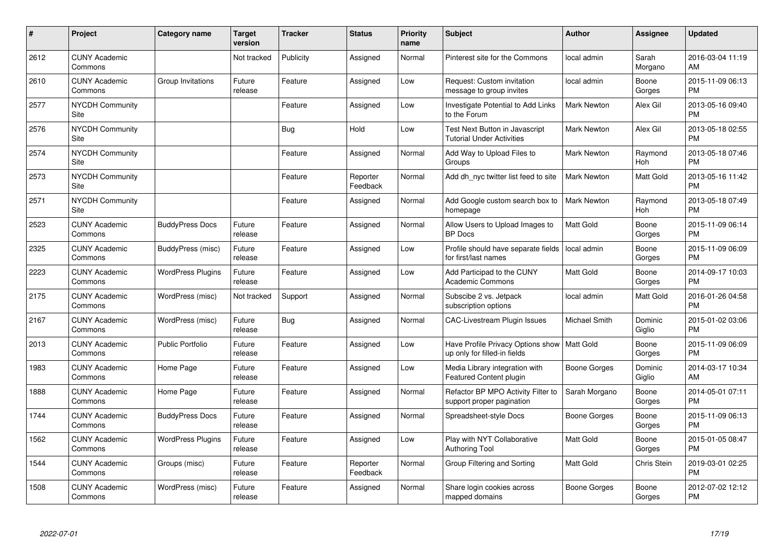| #    | Project                         | Category name            | <b>Target</b><br>version | <b>Tracker</b> | <b>Status</b>        | <b>Priority</b><br>name | <b>Subject</b>                                                                | <b>Author</b>       | <b>Assignee</b>   | <b>Updated</b>                |
|------|---------------------------------|--------------------------|--------------------------|----------------|----------------------|-------------------------|-------------------------------------------------------------------------------|---------------------|-------------------|-------------------------------|
| 2612 | <b>CUNY Academic</b><br>Commons |                          | Not tracked              | Publicity      | Assigned             | Normal                  | Pinterest site for the Commons                                                | local admin         | Sarah<br>Morgano  | 2016-03-04 11:19<br>AM        |
| 2610 | <b>CUNY Academic</b><br>Commons | Group Invitations        | Future<br>release        | Feature        | Assigned             | Low                     | Request: Custom invitation<br>message to group invites                        | local admin         | Boone<br>Gorges   | 2015-11-09 06:13<br><b>PM</b> |
| 2577 | <b>NYCDH Community</b><br>Site  |                          |                          | Feature        | Assigned             | Low                     | Investigate Potential to Add Links<br>to the Forum                            | <b>Mark Newton</b>  | Alex Gil          | 2013-05-16 09:40<br><b>PM</b> |
| 2576 | <b>NYCDH Community</b><br>Site  |                          |                          | Bug            | Hold                 | Low                     | Test Next Button in Javascript<br><b>Tutorial Under Activities</b>            | <b>Mark Newton</b>  | Alex Gil          | 2013-05-18 02:55<br><b>PM</b> |
| 2574 | <b>NYCDH Community</b><br>Site  |                          |                          | Feature        | Assigned             | Normal                  | Add Way to Upload Files to<br>Groups                                          | <b>Mark Newton</b>  | Raymond<br>Hoh    | 2013-05-18 07:46<br><b>PM</b> |
| 2573 | <b>NYCDH Community</b><br>Site  |                          |                          | Feature        | Reporter<br>Feedback | Normal                  | Add dh_nyc twitter list feed to site                                          | <b>Mark Newton</b>  | Matt Gold         | 2013-05-16 11:42<br><b>PM</b> |
| 2571 | <b>NYCDH Community</b><br>Site  |                          |                          | Feature        | Assigned             | Normal                  | Add Google custom search box to<br>homepage                                   | <b>Mark Newton</b>  | Raymond<br>Hoh    | 2013-05-18 07:49<br><b>PM</b> |
| 2523 | <b>CUNY Academic</b><br>Commons | <b>BuddyPress Docs</b>   | Future<br>release        | Feature        | Assigned             | Normal                  | Allow Users to Upload Images to<br><b>BP</b> Docs                             | <b>Matt Gold</b>    | Boone<br>Gorges   | 2015-11-09 06:14<br><b>PM</b> |
| 2325 | <b>CUNY Academic</b><br>Commons | BuddyPress (misc)        | Future<br>release        | Feature        | Assigned             | Low                     | Profile should have separate fields<br>for first/last names                   | local admin         | Boone<br>Gorges   | 2015-11-09 06:09<br><b>PM</b> |
| 2223 | <b>CUNY Academic</b><br>Commons | <b>WordPress Plugins</b> | Future<br>release        | Feature        | Assigned             | Low                     | Add Participad to the CUNY<br>Academic Commons                                | <b>Matt Gold</b>    | Boone<br>Gorges   | 2014-09-17 10:03<br><b>PM</b> |
| 2175 | <b>CUNY Academic</b><br>Commons | WordPress (misc)         | Not tracked              | Support        | Assigned             | Normal                  | Subscibe 2 vs. Jetpack<br>subscription options                                | local admin         | Matt Gold         | 2016-01-26 04:58<br><b>PM</b> |
| 2167 | <b>CUNY Academic</b><br>Commons | WordPress (misc)         | Future<br>release        | Bug            | Assigned             | Normal                  | <b>CAC-Livestream Plugin Issues</b>                                           | Michael Smith       | Dominic<br>Giglio | 2015-01-02 03:06<br><b>PM</b> |
| 2013 | <b>CUNY Academic</b><br>Commons | <b>Public Portfolio</b>  | Future<br>release        | Feature        | Assigned             | Low                     | Have Profile Privacy Options show   Matt Gold<br>up only for filled-in fields |                     | Boone<br>Gorges   | 2015-11-09 06:09<br><b>PM</b> |
| 1983 | <b>CUNY Academic</b><br>Commons | Home Page                | Future<br>release        | Feature        | Assigned             | Low                     | Media Library integration with<br>Featured Content plugin                     | Boone Gorges        | Dominic<br>Giglio | 2014-03-17 10:34<br>AM        |
| 1888 | <b>CUNY Academic</b><br>Commons | Home Page                | Future<br>release        | Feature        | Assigned             | Normal                  | Refactor BP MPO Activity Filter to<br>support proper pagination               | Sarah Morgano       | Boone<br>Gorges   | 2014-05-01 07:11<br><b>PM</b> |
| 1744 | <b>CUNY Academic</b><br>Commons | <b>BuddyPress Docs</b>   | Future<br>release        | Feature        | Assigned             | Normal                  | Spreadsheet-style Docs                                                        | <b>Boone Gorges</b> | Boone<br>Gorges   | 2015-11-09 06:13<br><b>PM</b> |
| 1562 | <b>CUNY Academic</b><br>Commons | <b>WordPress Plugins</b> | Future<br>release        | Feature        | Assigned             | Low                     | Play with NYT Collaborative<br><b>Authoring Tool</b>                          | <b>Matt Gold</b>    | Boone<br>Gorges   | 2015-01-05 08:47<br><b>PM</b> |
| 1544 | <b>CUNY Academic</b><br>Commons | Groups (misc)            | Future<br>release        | Feature        | Reporter<br>Feedback | Normal                  | Group Filtering and Sorting                                                   | <b>Matt Gold</b>    | Chris Stein       | 2019-03-01 02:25<br><b>PM</b> |
| 1508 | <b>CUNY Academic</b><br>Commons | WordPress (misc)         | Future<br>release        | Feature        | Assigned             | Normal                  | Share login cookies across<br>mapped domains                                  | Boone Gorges        | Boone<br>Gorges   | 2012-07-02 12:12<br><b>PM</b> |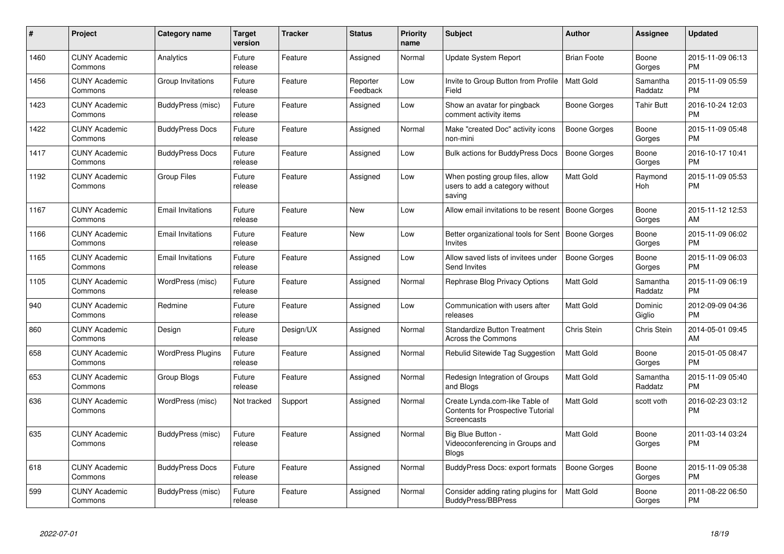| #    | <b>Project</b>                  | Category name            | <b>Target</b><br>version | <b>Tracker</b> | <b>Status</b>        | <b>Priority</b><br>name | <b>Subject</b>                                                                     | <b>Author</b>       | Assignee            | <b>Updated</b>                |
|------|---------------------------------|--------------------------|--------------------------|----------------|----------------------|-------------------------|------------------------------------------------------------------------------------|---------------------|---------------------|-------------------------------|
| 1460 | <b>CUNY Academic</b><br>Commons | Analytics                | Future<br>release        | Feature        | Assigned             | Normal                  | Update System Report                                                               | <b>Brian Foote</b>  | Boone<br>Gorges     | 2015-11-09 06:13<br><b>PM</b> |
| 1456 | <b>CUNY Academic</b><br>Commons | Group Invitations        | Future<br>release        | Feature        | Reporter<br>Feedback | Low                     | Invite to Group Button from Profile<br>Field                                       | <b>Matt Gold</b>    | Samantha<br>Raddatz | 2015-11-09 05:59<br><b>PM</b> |
| 1423 | <b>CUNY Academic</b><br>Commons | BuddyPress (misc)        | Future<br>release        | Feature        | Assigned             | Low                     | Show an avatar for pingback<br>comment activity items                              | Boone Gorges        | Tahir Butt          | 2016-10-24 12:03<br><b>PM</b> |
| 1422 | <b>CUNY Academic</b><br>Commons | <b>BuddyPress Docs</b>   | Future<br>release        | Feature        | Assigned             | Normal                  | Make "created Doc" activity icons<br>non-mini                                      | Boone Gorges        | Boone<br>Gorges     | 2015-11-09 05:48<br><b>PM</b> |
| 1417 | <b>CUNY Academic</b><br>Commons | <b>BuddyPress Docs</b>   | Future<br>release        | Feature        | Assigned             | Low                     | <b>Bulk actions for BuddyPress Docs</b>                                            | <b>Boone Gorges</b> | Boone<br>Gorges     | 2016-10-17 10:41<br><b>PM</b> |
| 1192 | <b>CUNY Academic</b><br>Commons | <b>Group Files</b>       | Future<br>release        | Feature        | Assigned             | Low                     | When posting group files, allow<br>users to add a category without<br>saving       | Matt Gold           | Raymond<br>Hoh      | 2015-11-09 05:53<br><b>PM</b> |
| 1167 | <b>CUNY Academic</b><br>Commons | <b>Email Invitations</b> | Future<br>release        | Feature        | <b>New</b>           | Low                     | Allow email invitations to be resent                                               | Boone Gorges        | Boone<br>Gorges     | 2015-11-12 12:53<br>AM        |
| 1166 | <b>CUNY Academic</b><br>Commons | <b>Email Invitations</b> | Future<br>release        | Feature        | <b>New</b>           | Low                     | Better organizational tools for Sent<br>Invites                                    | Boone Gorges        | Boone<br>Gorges     | 2015-11-09 06:02<br><b>PM</b> |
| 1165 | <b>CUNY Academic</b><br>Commons | <b>Email Invitations</b> | Future<br>release        | Feature        | Assigned             | Low                     | Allow saved lists of invitees under<br>Send Invites                                | Boone Gorges        | Boone<br>Gorges     | 2015-11-09 06:03<br><b>PM</b> |
| 1105 | <b>CUNY Academic</b><br>Commons | WordPress (misc)         | Future<br>release        | Feature        | Assigned             | Normal                  | Rephrase Blog Privacy Options                                                      | <b>Matt Gold</b>    | Samantha<br>Raddatz | 2015-11-09 06:19<br><b>PM</b> |
| 940  | <b>CUNY Academic</b><br>Commons | Redmine                  | Future<br>release        | Feature        | Assigned             | Low                     | Communication with users after<br>releases                                         | <b>Matt Gold</b>    | Dominic<br>Giglio   | 2012-09-09 04:36<br><b>PM</b> |
| 860  | <b>CUNY Academic</b><br>Commons | Design                   | Future<br>release        | Design/UX      | Assigned             | Normal                  | <b>Standardize Button Treatment</b><br><b>Across the Commons</b>                   | Chris Stein         | Chris Stein         | 2014-05-01 09:45<br>AM        |
| 658  | <b>CUNY Academic</b><br>Commons | <b>WordPress Plugins</b> | Future<br>release        | Feature        | Assigned             | Normal                  | Rebulid Sitewide Tag Suggestion                                                    | <b>Matt Gold</b>    | Boone<br>Gorges     | 2015-01-05 08:47<br><b>PM</b> |
| 653  | <b>CUNY Academic</b><br>Commons | Group Blogs              | Future<br>release        | Feature        | Assigned             | Normal                  | Redesign Integration of Groups<br>and Blogs                                        | Matt Gold           | Samantha<br>Raddatz | 2015-11-09 05:40<br><b>PM</b> |
| 636  | <b>CUNY Academic</b><br>Commons | WordPress (misc)         | Not tracked              | Support        | Assigned             | Normal                  | Create Lynda.com-like Table of<br>Contents for Prospective Tutorial<br>Screencasts | <b>Matt Gold</b>    | scott voth          | 2016-02-23 03:12<br><b>PM</b> |
| 635  | <b>CUNY Academic</b><br>Commons | BuddyPress (misc)        | Future<br>release        | Feature        | Assigned             | Normal                  | Big Blue Button -<br>Videoconferencing in Groups and<br><b>Blogs</b>               | Matt Gold           | Boone<br>Gorges     | 2011-03-14 03:24<br><b>PM</b> |
| 618  | <b>CUNY Academic</b><br>Commons | <b>BuddyPress Docs</b>   | Future<br>release        | Feature        | Assigned             | Normal                  | BuddyPress Docs: export formats                                                    | Boone Gorges        | Boone<br>Gorges     | 2015-11-09 05:38<br><b>PM</b> |
| 599  | <b>CUNY Academic</b><br>Commons | BuddyPress (misc)        | Future<br>release        | Feature        | Assigned             | Normal                  | Consider adding rating plugins for<br>BuddyPress/BBPress                           | <b>Matt Gold</b>    | Boone<br>Gorges     | 2011-08-22 06:50<br><b>PM</b> |